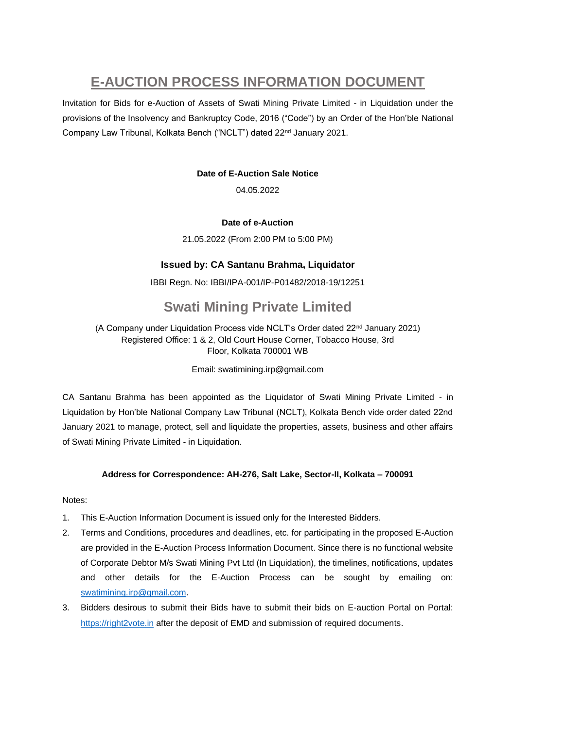# **E-AUCTION PROCESS INFORMATION DOCUMENT**

Invitation for Bids for e-Auction of Assets of Swati Mining Private Limited - in Liquidation under the provisions of the Insolvency and Bankruptcy Code, 2016 ("Code") by an Order of the Hon'ble National Company Law Tribunal, Kolkata Bench ("NCLT") dated 22nd January 2021.

# **Date of E-Auction Sale Notice**

04.05.2022

# **Date of e-Auction**

21.05.2022 (From 2:00 PM to 5:00 PM)

# **Issued by: CA Santanu Brahma, Liquidator**

IBBI Regn. No: IBBI/IPA-001/IP-P01482/2018-19/12251

# **Swati Mining Private Limited**

(A Company under Liquidation Process vide NCLT's Order dated 22nd January 2021) Registered Office: 1 & 2, Old Court House Corner, Tobacco House, 3rd Floor, Kolkata 700001 WB

#### Email: swatimining.irp@gmail.com

CA Santanu Brahma has been appointed as the Liquidator of Swati Mining Private Limited - in Liquidation by Hon'ble National Company Law Tribunal (NCLT), Kolkata Bench vide order dated 22nd January 2021 to manage, protect, sell and liquidate the properties, assets, business and other affairs of Swati Mining Private Limited - in Liquidation.

#### **Address for Correspondence: AH-276, Salt Lake, Sector-II, Kolkata – 700091**

Notes:

- 1. This E-Auction Information Document is issued only for the Interested Bidders.
- 2. Terms and Conditions, procedures and deadlines, etc. for participating in the proposed E-Auction are provided in the E-Auction Process Information Document. Since there is no functional website of Corporate Debtor M/s Swati Mining Pvt Ltd (In Liquidation), the timelines, notifications, updates and other details for the E-Auction Process can be sought by emailing on: [swatimining.irp@gmail.com.](mailto:swatimining.irp@gmail.com)
- 3. Bidders desirous to submit their Bids have to submit their bids on E-auction Portal on Portal: [https://right2vote.in](https://right2vote.in/) after the deposit of EMD and submission of required documents.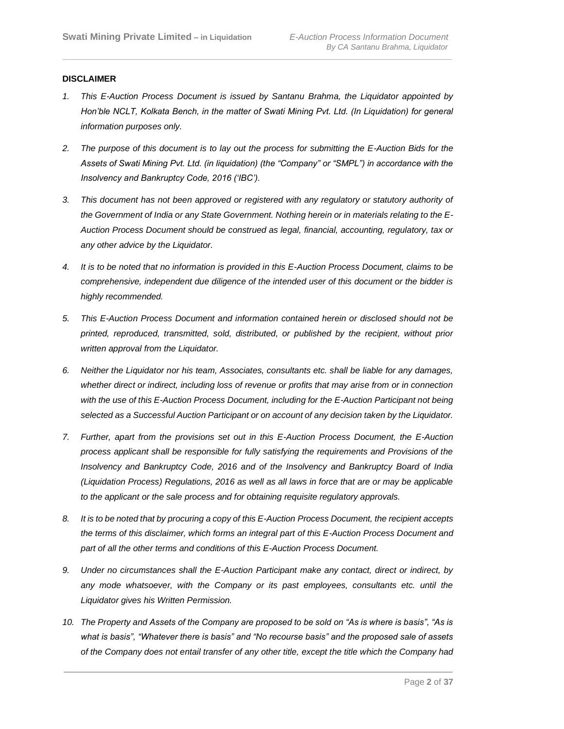#### **DISCLAIMER**

- *1. This E-Auction Process Document is issued by Santanu Brahma, the Liquidator appointed by*  Hon'ble NCLT, Kolkata Bench, in the matter of Swati Mining Pvt. Ltd. (In Liquidation) for general *information purposes only.*
- *2. The purpose of this document is to lay out the process for submitting the E-Auction Bids for the Assets of Swati Mining Pvt. Ltd. (in liquidation) (the "Company" or "SMPL") in accordance with the Insolvency and Bankruptcy Code, 2016 ('IBC').*
- *3. This document has not been approved or registered with any regulatory or statutory authority of the Government of India or any State Government. Nothing herein or in materials relating to the E-Auction Process Document should be construed as legal, financial, accounting, regulatory, tax or any other advice by the Liquidator.*
- *4. It is to be noted that no information is provided in this E-Auction Process Document, claims to be comprehensive, independent due diligence of the intended user of this document or the bidder is highly recommended.*
- *5. This E-Auction Process Document and information contained herein or disclosed should not be printed, reproduced, transmitted, sold, distributed, or published by the recipient, without prior written approval from the Liquidator.*
- *6. Neither the Liquidator nor his team, Associates, consultants etc. shall be liable for any damages, whether direct or indirect, including loss of revenue or profits that may arise from or in connection*  with the use of this E-Auction Process Document, including for the E-Auction Participant not being *selected as a Successful Auction Participant or on account of any decision taken by the Liquidator.*
- *7. Further, apart from the provisions set out in this E-Auction Process Document, the E-Auction process applicant shall be responsible for fully satisfying the requirements and Provisions of the Insolvency and Bankruptcy Code, 2016 and of the Insolvency and Bankruptcy Board of India (Liquidation Process) Regulations, 2016 as well as all laws in force that are or may be applicable to the applicant or the sale process and for obtaining requisite regulatory approvals.*
- *8. It is to be noted that by procuring a copy of this E-Auction Process Document, the recipient accepts the terms of this disclaimer, which forms an integral part of this E-Auction Process Document and part of all the other terms and conditions of this E-Auction Process Document.*
- *9. Under no circumstances shall the E-Auction Participant make any contact, direct or indirect, by any mode whatsoever, with the Company or its past employees, consultants etc. until the Liquidator gives his Written Permission.*
- *10. The Property and Assets of the Company are proposed to be sold on "As is where is basis", "As is what is basis", "Whatever there is basis" and "No recourse basis" and the proposed sale of assets of the Company does not entail transfer of any other title, except the title which the Company had*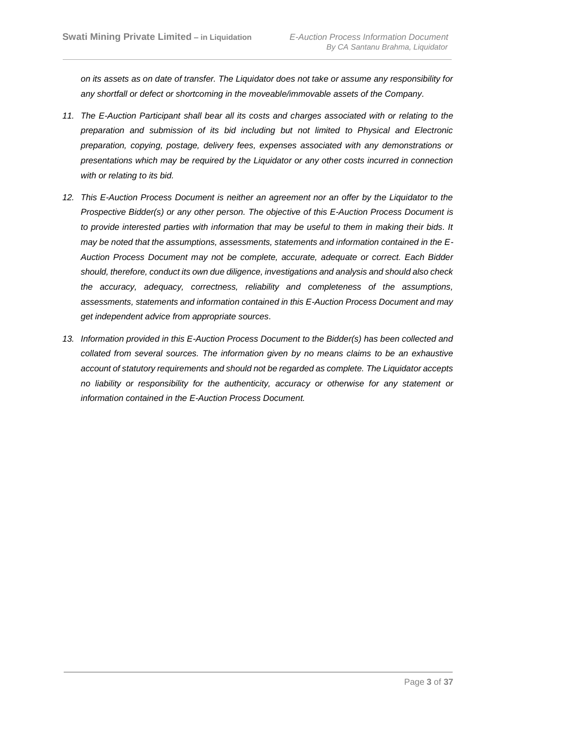*on its assets as on date of transfer. The Liquidator does not take or assume any responsibility for any shortfall or defect or shortcoming in the moveable/immovable assets of the Company.*

- *11. The E-Auction Participant shall bear all its costs and charges associated with or relating to the preparation and submission of its bid including but not limited to Physical and Electronic preparation, copying, postage, delivery fees, expenses associated with any demonstrations or presentations which may be required by the Liquidator or any other costs incurred in connection with or relating to its bid.*
- *12. This E-Auction Process Document is neither an agreement nor an offer by the Liquidator to the Prospective Bidder(s) or any other person. The objective of this E-Auction Process Document is*  to provide interested parties with information that may be useful to them in making their bids. It *may be noted that the assumptions, assessments, statements and information contained in the E-Auction Process Document may not be complete, accurate, adequate or correct. Each Bidder should, therefore, conduct its own due diligence, investigations and analysis and should also check the accuracy, adequacy, correctness, reliability and completeness of the assumptions, assessments, statements and information contained in this E-Auction Process Document and may get independent advice from appropriate sources.*
- *13. Information provided in this E-Auction Process Document to the Bidder(s) has been collected and collated from several sources. The information given by no means claims to be an exhaustive account of statutory requirements and should not be regarded as complete. The Liquidator accepts no liability or responsibility for the authenticity, accuracy or otherwise for any statement or information contained in the E-Auction Process Document.*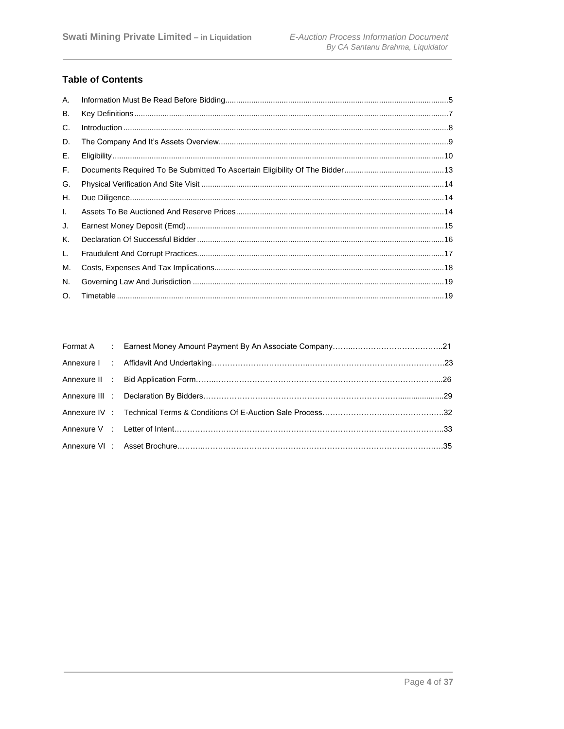# **Table of Contents**

| A. |                                                                                                                                                                                                                                                                                                                                                                                                                                                                  |  |
|----|------------------------------------------------------------------------------------------------------------------------------------------------------------------------------------------------------------------------------------------------------------------------------------------------------------------------------------------------------------------------------------------------------------------------------------------------------------------|--|
| В. |                                                                                                                                                                                                                                                                                                                                                                                                                                                                  |  |
| C. | $\label{f:1} \text{Introduction} \,\, \ldots \,\, \ldots \,\, \ldots \,\, \ldots \,\, \ldots \,\, \ldots \,\, \ldots \,\, \ldots \,\, \ldots \,\, \ldots \,\, \ldots \,\, \ldots \,\, \ldots \,\, \ldots \,\, \ldots \,\, \ldots \,\, \ldots \,\, \ldots \,\, \ldots \,\, \ldots \,\, \ldots \,\, \ldots \,\, \ldots \,\, \ldots \,\, \ldots \,\, \ldots \,\, \ldots \,\, \ldots \,\, \ldots \,\, \ldots \,\, \ldots \,\, \ldots \,\, \ldots \,\, \ldots \,\, \$ |  |
| D. |                                                                                                                                                                                                                                                                                                                                                                                                                                                                  |  |
| Е. |                                                                                                                                                                                                                                                                                                                                                                                                                                                                  |  |
| F. |                                                                                                                                                                                                                                                                                                                                                                                                                                                                  |  |
| G. |                                                                                                                                                                                                                                                                                                                                                                                                                                                                  |  |
| Н. |                                                                                                                                                                                                                                                                                                                                                                                                                                                                  |  |
| Ι. |                                                                                                                                                                                                                                                                                                                                                                                                                                                                  |  |
| J. |                                                                                                                                                                                                                                                                                                                                                                                                                                                                  |  |
| Κ. |                                                                                                                                                                                                                                                                                                                                                                                                                                                                  |  |
| L. |                                                                                                                                                                                                                                                                                                                                                                                                                                                                  |  |
| М. |                                                                                                                                                                                                                                                                                                                                                                                                                                                                  |  |
| N. |                                                                                                                                                                                                                                                                                                                                                                                                                                                                  |  |
| O. |                                                                                                                                                                                                                                                                                                                                                                                                                                                                  |  |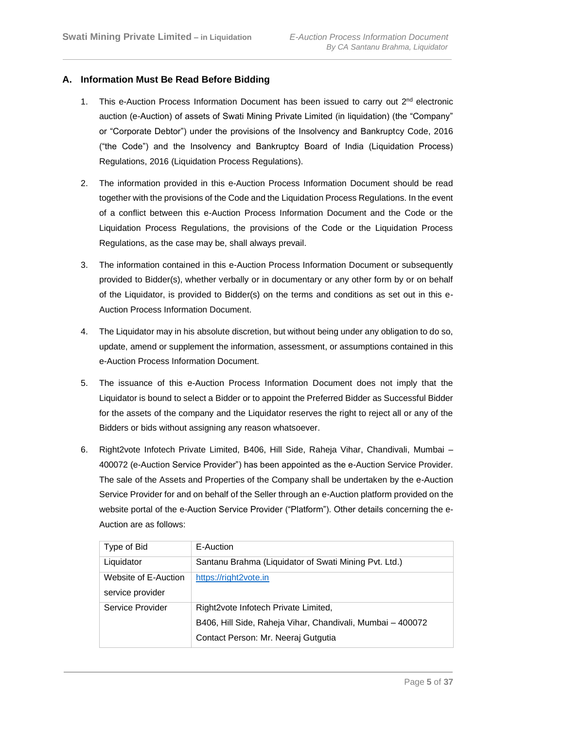# **A. Information Must Be Read Before Bidding**

- 1. This e-Auction Process Information Document has been issued to carry out  $2<sup>nd</sup>$  electronic auction (e-Auction) of assets of Swati Mining Private Limited (in liquidation) (the "Company" or "Corporate Debtor") under the provisions of the Insolvency and Bankruptcy Code, 2016 ("the Code") and the Insolvency and Bankruptcy Board of India (Liquidation Process) Regulations, 2016 (Liquidation Process Regulations).
- 2. The information provided in this e-Auction Process Information Document should be read together with the provisions of the Code and the Liquidation Process Regulations. In the event of a conflict between this e-Auction Process Information Document and the Code or the Liquidation Process Regulations, the provisions of the Code or the Liquidation Process Regulations, as the case may be, shall always prevail.
- 3. The information contained in this e-Auction Process Information Document or subsequently provided to Bidder(s), whether verbally or in documentary or any other form by or on behalf of the Liquidator, is provided to Bidder(s) on the terms and conditions as set out in this e-Auction Process Information Document.
- 4. The Liquidator may in his absolute discretion, but without being under any obligation to do so, update, amend or supplement the information, assessment, or assumptions contained in this e-Auction Process Information Document.
- 5. The issuance of this e-Auction Process Information Document does not imply that the Liquidator is bound to select a Bidder or to appoint the Preferred Bidder as Successful Bidder for the assets of the company and the Liquidator reserves the right to reject all or any of the Bidders or bids without assigning any reason whatsoever.
- 6. Right2vote Infotech Private Limited, B406, Hill Side, Raheja Vihar, Chandivali, Mumbai 400072 (e-Auction Service Provider") has been appointed as the e-Auction Service Provider. The sale of the Assets and Properties of the Company shall be undertaken by the e-Auction Service Provider for and on behalf of the Seller through an e-Auction platform provided on the website portal of the e-Auction Service Provider ("Platform"). Other details concerning the e-Auction are as follows:

| Type of Bid          | E-Auction                                                  |
|----------------------|------------------------------------------------------------|
| Liquidator           | Santanu Brahma (Liquidator of Swati Mining Pvt. Ltd.)      |
| Website of E-Auction | https://right2vote.in                                      |
| service provider     |                                                            |
| Service Provider     | Right2vote Infotech Private Limited.                       |
|                      | B406, Hill Side, Raheja Vihar, Chandivali, Mumbai - 400072 |
|                      | Contact Person: Mr. Neeraj Gutgutia                        |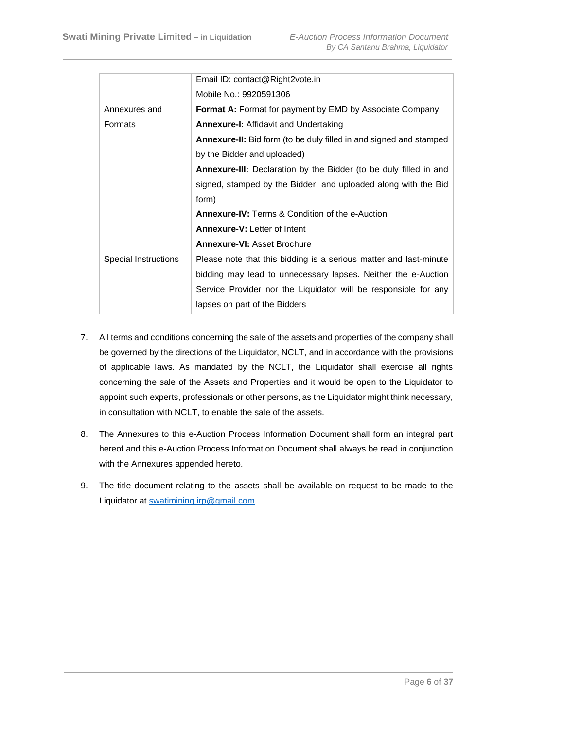|                      | Email ID: contact@Right2vote.in                                           |
|----------------------|---------------------------------------------------------------------------|
|                      | Mobile No.: 9920591306                                                    |
| Annexures and        | Format A: Format for payment by EMD by Associate Company                  |
| Formats              | <b>Annexure-I:</b> Affidavit and Undertaking                              |
|                      | <b>Annexure-II:</b> Bid form (to be duly filled in and signed and stamped |
|                      | by the Bidder and uploaded)                                               |
|                      | <b>Annexure-III:</b> Declaration by the Bidder (to be duly filled in and  |
|                      | signed, stamped by the Bidder, and uploaded along with the Bid            |
|                      | form)                                                                     |
|                      | <b>Annexure-IV:</b> Terms & Condition of the e-Auction                    |
|                      | <b>Annexure-V: Letter of Intent</b>                                       |
|                      | <b>Annexure-VI: Asset Brochure</b>                                        |
| Special Instructions | Please note that this bidding is a serious matter and last-minute         |
|                      | bidding may lead to unnecessary lapses. Neither the e-Auction             |
|                      | Service Provider nor the Liquidator will be responsible for any           |
|                      | lapses on part of the Bidders                                             |

- 7. All terms and conditions concerning the sale of the assets and properties of the company shall be governed by the directions of the Liquidator, NCLT, and in accordance with the provisions of applicable laws. As mandated by the NCLT, the Liquidator shall exercise all rights concerning the sale of the Assets and Properties and it would be open to the Liquidator to appoint such experts, professionals or other persons, as the Liquidator might think necessary, in consultation with NCLT, to enable the sale of the assets.
- 8. The Annexures to this e-Auction Process Information Document shall form an integral part hereof and this e-Auction Process Information Document shall always be read in conjunction with the Annexures appended hereto.
- 9. The title docu[ment relating to the assets](mailto:swatimining.irp@gmail.com) shall be available on request to be made to the Liquidator at swatimining.irp@gmail.com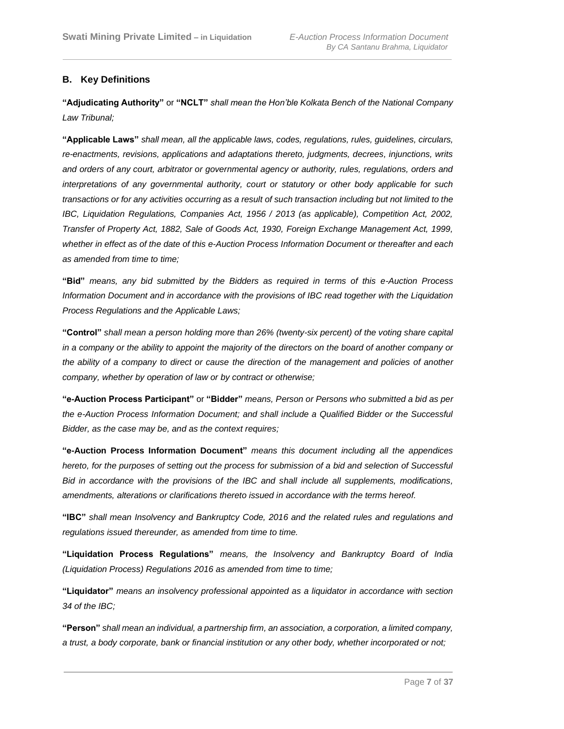# <span id="page-6-0"></span>**B. Key Definitions**

**"Adjudicating Authority"** or **"NCLT"** *shall mean the Hon'ble Kolkata Bench of the National Company Law Tribunal;*

**"Applicable Laws"** *shall mean, all the applicable laws, codes, regulations, rules, guidelines, circulars, re-enactments, revisions, applications and adaptations thereto, judgments, decrees, injunctions, writs and orders of any court, arbitrator or governmental agency or authority, rules, regulations, orders and interpretations of any governmental authority, court or statutory or other body applicable for such transactions or for any activities occurring as a result of such transaction including but not limited to the IBC, Liquidation Regulations, Companies Act, 1956 / 2013 (as applicable), Competition Act, 2002, Transfer of Property Act, 1882, Sale of Goods Act, 1930, Foreign Exchange Management Act, 1999, whether in effect as of the date of this e-Auction Process Information Document or thereafter and each as amended from time to time;*

**"Bid"** *means, any bid submitted by the Bidders as required in terms of this e-Auction Process Information Document and in accordance with the provisions of IBC read together with the Liquidation Process Regulations and the Applicable Laws;*

**"Control"** *shall mean a person holding more than 26% (twenty-six percent) of the voting share capital in a company or the ability to appoint the majority of the directors on the board of another company or the ability of a company to direct or cause the direction of the management and policies of another company, whether by operation of law or by contract or otherwise;*

**"e-Auction Process Participant"** or **"Bidder"** *means, Person or Persons who submitted a bid as per the e-Auction Process Information Document; and shall include a Qualified Bidder or the Successful Bidder, as the case may be, and as the context requires;*

**"e-Auction Process Information Document"** *means this document including all the appendices hereto, for the purposes of setting out the process for submission of a bid and selection of Successful Bid in accordance with the provisions of the IBC and shall include all supplements, modifications, amendments, alterations or clarifications thereto issued in accordance with the terms hereof.*

**"IBC"** *shall mean Insolvency and Bankruptcy Code, 2016 and the related rules and regulations and regulations issued thereunder, as amended from time to time.*

**"Liquidation Process Regulations"** *means, the Insolvency and Bankruptcy Board of India (Liquidation Process) Regulations 2016 as amended from time to time;*

**"Liquidator"** *means an insolvency professional appointed as a liquidator in accordance with section 34 of the IBC;*

**"Person"** *shall mean an individual, a partnership firm, an association, a corporation, a limited company, a trust, a body corporate, bank or financial institution or any other body, whether incorporated or not;*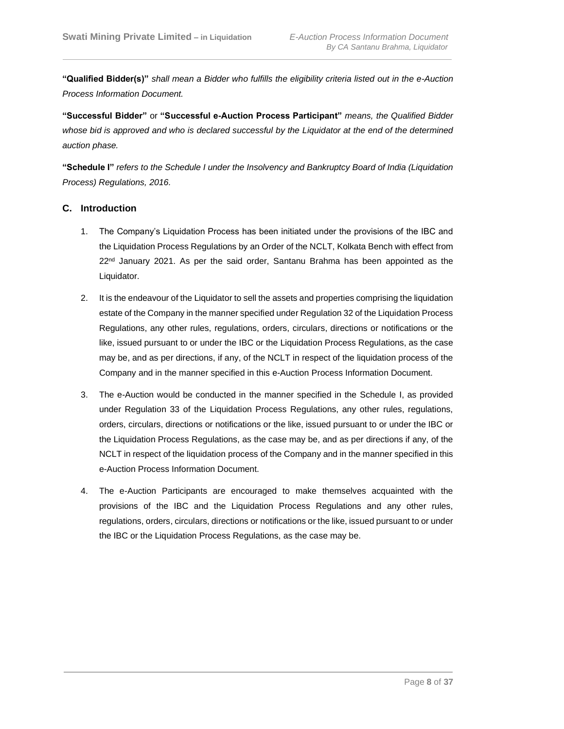**"Qualified Bidder(s)"** *shall mean a Bidder who fulfills the eligibility criteria listed out in the e-Auction Process Information Document.*

**"Successful Bidder"** or **"Successful e-Auction Process Participant"** *means, the Qualified Bidder whose bid is approved and who is declared successful by the Liquidator at the end of the determined auction phase.*

<span id="page-7-0"></span>**"Schedule I"** *refers to the Schedule I under the Insolvency and Bankruptcy Board of India (Liquidation Process) Regulations, 2016.*

# **C. Introduction**

- 1. The Company's Liquidation Process has been initiated under the provisions of the IBC and the Liquidation Process Regulations by an Order of the NCLT, Kolkata Bench with effect from 22<sup>nd</sup> January 2021. As per the said order, Santanu Brahma has been appointed as the Liquidator.
- 2. It is the endeavour of the Liquidator to sell the assets and properties comprising the liquidation estate of the Company in the manner specified under Regulation 32 of the Liquidation Process Regulations, any other rules, regulations, orders, circulars, directions or notifications or the like, issued pursuant to or under the IBC or the Liquidation Process Regulations, as the case may be, and as per directions, if any, of the NCLT in respect of the liquidation process of the Company and in the manner specified in this e-Auction Process Information Document.
- 3. The e-Auction would be conducted in the manner specified in the Schedule I, as provided under Regulation 33 of the Liquidation Process Regulations, any other rules, regulations, orders, circulars, directions or notifications or the like, issued pursuant to or under the IBC or the Liquidation Process Regulations, as the case may be, and as per directions if any, of the NCLT in respect of the liquidation process of the Company and in the manner specified in this e-Auction Process Information Document.
- 4. The e-Auction Participants are encouraged to make themselves acquainted with the provisions of the IBC and the Liquidation Process Regulations and any other rules, regulations, orders, circulars, directions or notifications or the like, issued pursuant to or under the IBC or the Liquidation Process Regulations, as the case may be.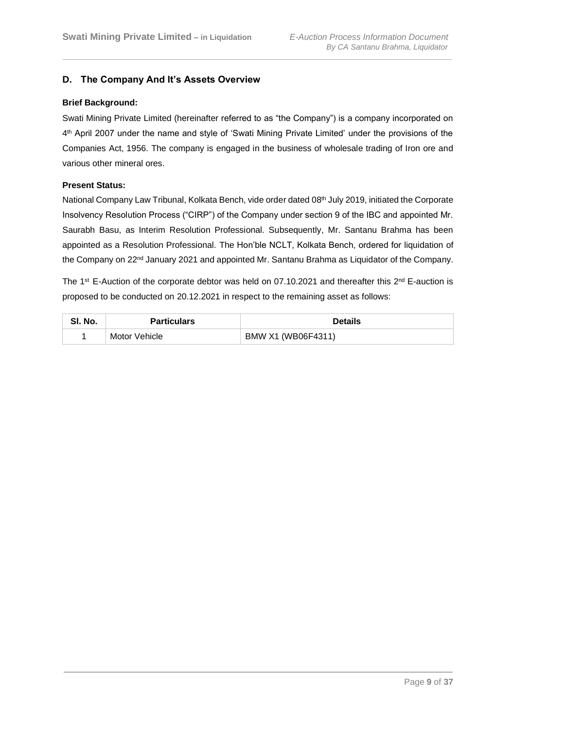# <span id="page-8-0"></span>**D. The Company And It's Assets Overview**

#### **Brief Background:**

Swati Mining Private Limited (hereinafter referred to as "the Company") is a company incorporated on 4 th April 2007 under the name and style of 'Swati Mining Private Limited' under the provisions of the Companies Act, 1956. The company is engaged in the business of wholesale trading of Iron ore and various other mineral ores.

#### **Present Status:**

National Company Law Tribunal, Kolkata Bench, vide order dated 08<sup>th</sup> July 2019, initiated the Corporate Insolvency Resolution Process ("CIRP") of the Company under section 9 of the IBC and appointed Mr. Saurabh Basu, as Interim Resolution Professional. Subsequently, Mr. Santanu Brahma has been appointed as a Resolution Professional. The Hon'ble NCLT, Kolkata Bench, ordered for liquidation of the Company on 22<sup>nd</sup> January 2021 and appointed Mr. Santanu Brahma as Liquidator of the Company.

The 1<sup>st</sup> E-Auction of the corporate debtor was held on 07.10.2021 and thereafter this  $2^{nd}$  E-auction is proposed to be conducted on 20.12.2021 in respect to the remaining asset as follows:

| SI. No. | <b>Particulars</b> | <b>Details</b>     |
|---------|--------------------|--------------------|
|         | Motor Vehicle      | BMW X1 (WB06F4311) |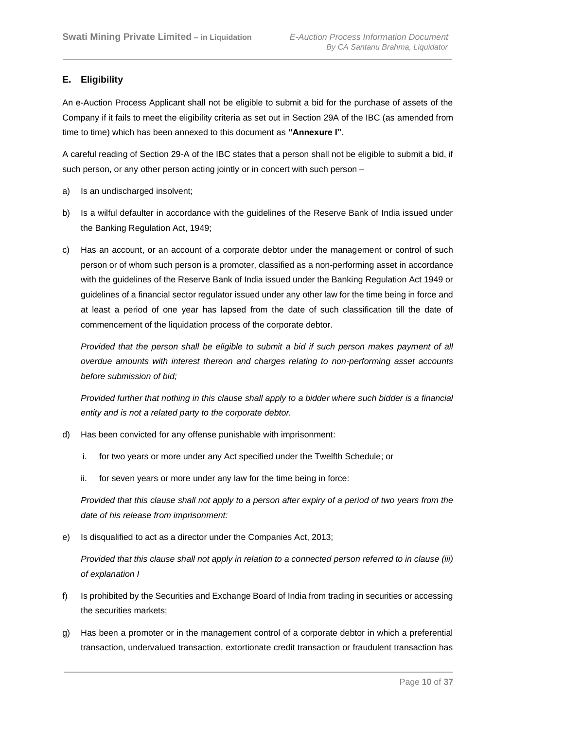# <span id="page-9-0"></span>**E. Eligibility**

An e-Auction Process Applicant shall not be eligible to submit a bid for the purchase of assets of the Company if it fails to meet the eligibility criteria as set out in Section 29A of the IBC (as amended from time to time) which has been annexed to this document as **"Annexure I"**.

A careful reading of Section 29-A of the IBC states that a person shall not be eligible to submit a bid, if such person, or any other person acting jointly or in concert with such person –

- a) Is an undischarged insolvent;
- b) Is a wilful defaulter in accordance with the guidelines of the Reserve Bank of India issued under the Banking Regulation Act, 1949;
- c) Has an account, or an account of a corporate debtor under the management or control of such person or of whom such person is a promoter, classified as a non-performing asset in accordance with the guidelines of the Reserve Bank of India issued under the Banking Regulation Act 1949 or guidelines of a financial sector regulator issued under any other law for the time being in force and at least a period of one year has lapsed from the date of such classification till the date of commencement of the liquidation process of the corporate debtor.

*Provided that the person shall be eligible to submit a bid if such person makes payment of all overdue amounts with interest thereon and charges relating to non-performing asset accounts before submission of bid;*

*Provided further that nothing in this clause shall apply to a bidder where such bidder is a financial entity and is not a related party to the corporate debtor.*

- d) Has been convicted for any offense punishable with imprisonment:
	- i. for two years or more under any Act specified under the Twelfth Schedule; or
	- ii. for seven years or more under any law for the time being in force:

*Provided that this clause shall not apply to a person after expiry of a period of two years from the date of his release from imprisonment:*

e) Is disqualified to act as a director under the Companies Act, 2013;

*Provided that this clause shall not apply in relation to a connected person referred to in clause (iii) of explanation I*

- f) Is prohibited by the Securities and Exchange Board of India from trading in securities or accessing the securities markets;
- g) Has been a promoter or in the management control of a corporate debtor in which a preferential transaction, undervalued transaction, extortionate credit transaction or fraudulent transaction has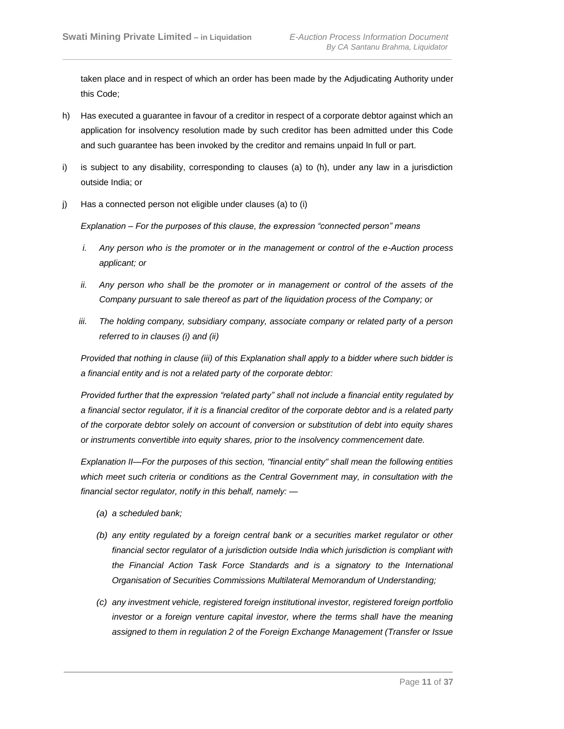taken place and in respect of which an order has been made by the Adjudicating Authority under this Code;

- h) Has executed a guarantee in favour of a creditor in respect of a corporate debtor against which an application for insolvency resolution made by such creditor has been admitted under this Code and such guarantee has been invoked by the creditor and remains unpaid In full or part.
- i) is subject to any disability, corresponding to clauses (a) to (h), under any law in a jurisdiction outside India; or
- j) Has a connected person not eligible under clauses (a) to (i)

*Explanation – For the purposes of this clause, the expression "connected person" means*

- *i. Any person who is the promoter or in the management or control of the e-Auction process applicant; or*
- *ii.* Any person who shall be the promoter or in management or control of the assets of the *Company pursuant to sale thereof as part of the liquidation process of the Company; or*
- *iii. The holding company, subsidiary company, associate company or related party of a person referred to in clauses (i) and (ii)*

*Provided that nothing in clause (iii) of this Explanation shall apply to a bidder where such bidder is a financial entity and is not a related party of the corporate debtor:*

*Provided further that the expression "related party" shall not include a financial entity regulated by a financial sector regulator, if it is a financial creditor of the corporate debtor and is a related party of the corporate debtor solely on account of conversion or substitution of debt into equity shares or instruments convertible into equity shares, prior to the insolvency commencement date.*

*Explanation II—For the purposes of this section, "financial entity" shall mean the following entities which meet such criteria or conditions as the Central Government may, in consultation with the financial sector regulator, notify in this behalf, namely: —*

- *(a) a scheduled bank;*
- *(b) any entity regulated by a foreign central bank or a securities market regulator or other financial sector regulator of a jurisdiction outside India which jurisdiction is compliant with the Financial Action Task Force Standards and is a signatory to the International Organisation of Securities Commissions Multilateral Memorandum of Understanding;*
- *(c) any investment vehicle, registered foreign institutional investor, registered foreign portfolio investor or a foreign venture capital investor, where the terms shall have the meaning assigned to them in regulation 2 of the Foreign Exchange Management (Transfer or Issue*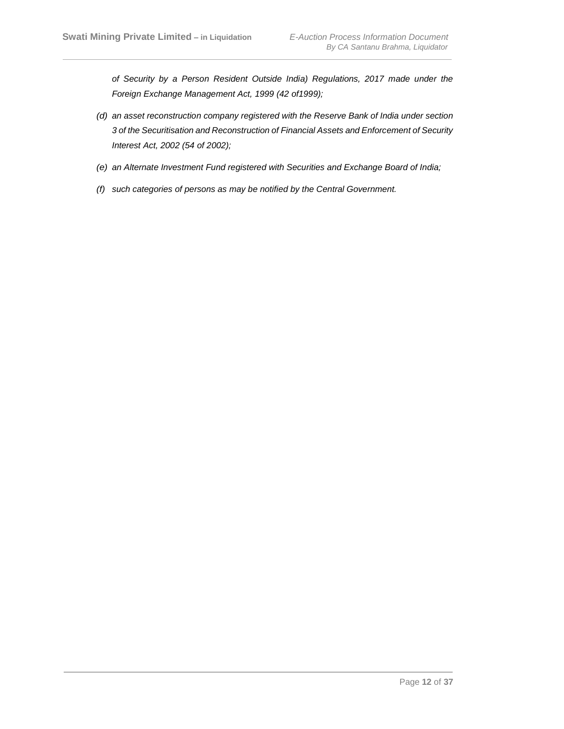*of Security by a Person Resident Outside India) Regulations, 2017 made under the Foreign Exchange Management Act, 1999 (42 of1999);*

- *(d) an asset reconstruction company registered with the Reserve Bank of India under section 3 of the Securitisation and Reconstruction of Financial Assets and Enforcement of Security Interest Act, 2002 (54 of 2002);*
- *(e) an Alternate Investment Fund registered with Securities and Exchange Board of India;*
- *(f) such categories of persons as may be notified by the Central Government.*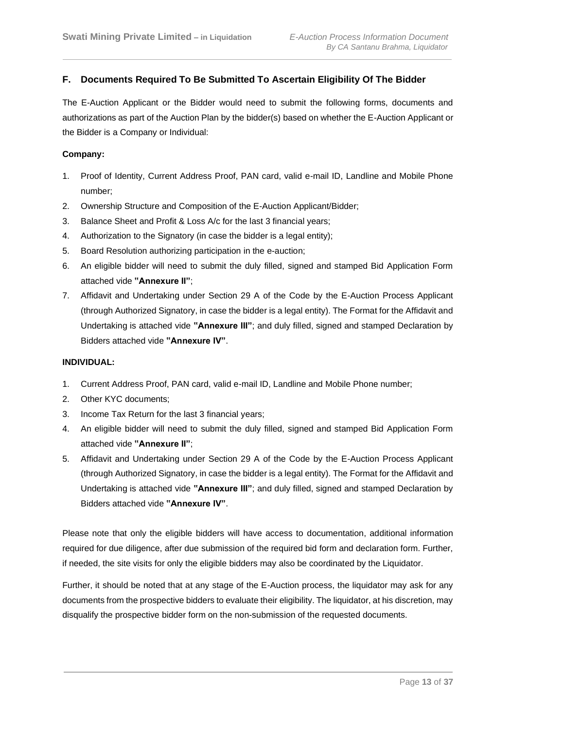# <span id="page-12-0"></span>**F. Documents Required To Be Submitted To Ascertain Eligibility Of The Bidder**

The E-Auction Applicant or the Bidder would need to submit the following forms, documents and authorizations as part of the Auction Plan by the bidder(s) based on whether the E-Auction Applicant or the Bidder is a Company or Individual:

#### **Company:**

- 1. Proof of Identity, Current Address Proof, PAN card, valid e-mail ID, Landline and Mobile Phone number;
- 2. Ownership Structure and Composition of the E-Auction Applicant/Bidder;
- 3. Balance Sheet and Profit & Loss A/c for the last 3 financial years;
- 4. Authorization to the Signatory (in case the bidder is a legal entity);
- 5. Board Resolution authorizing participation in the e-auction;
- 6. An eligible bidder will need to submit the duly filled, signed and stamped Bid Application Form attached vide **"Annexure II"**;
- 7. Affidavit and Undertaking under Section 29 A of the Code by the E-Auction Process Applicant (through Authorized Signatory, in case the bidder is a legal entity). The Format for the Affidavit and Undertaking is attached vide **"Annexure III"**; and duly filled, signed and stamped Declaration by Bidders attached vide **"Annexure IV"**.

#### **INDIVIDUAL:**

- 1. Current Address Proof, PAN card, valid e-mail ID, Landline and Mobile Phone number;
- 2. Other KYC documents;
- 3. Income Tax Return for the last 3 financial years;
- 4. An eligible bidder will need to submit the duly filled, signed and stamped Bid Application Form attached vide **"Annexure II"**;
- 5. Affidavit and Undertaking under Section 29 A of the Code by the E-Auction Process Applicant (through Authorized Signatory, in case the bidder is a legal entity). The Format for the Affidavit and Undertaking is attached vide **"Annexure III"**; and duly filled, signed and stamped Declaration by Bidders attached vide **"Annexure IV"**.

Please note that only the eligible bidders will have access to documentation, additional information required for due diligence, after due submission of the required bid form and declaration form. Further, if needed, the site visits for only the eligible bidders may also be coordinated by the Liquidator.

Further, it should be noted that at any stage of the E-Auction process, the liquidator may ask for any documents from the prospective bidders to evaluate their eligibility. The liquidator, at his discretion, may disqualify the prospective bidder form on the non-submission of the requested documents.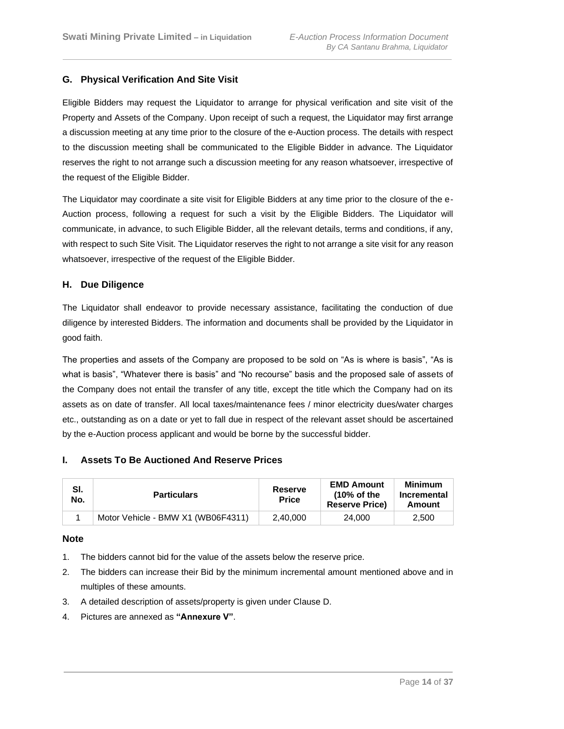# <span id="page-13-0"></span>**G. Physical Verification And Site Visit**

Eligible Bidders may request the Liquidator to arrange for physical verification and site visit of the Property and Assets of the Company. Upon receipt of such a request, the Liquidator may first arrange a discussion meeting at any time prior to the closure of the e-Auction process. The details with respect to the discussion meeting shall be communicated to the Eligible Bidder in advance. The Liquidator reserves the right to not arrange such a discussion meeting for any reason whatsoever, irrespective of the request of the Eligible Bidder.

The Liquidator may coordinate a site visit for Eligible Bidders at any time prior to the closure of the e-Auction process, following a request for such a visit by the Eligible Bidders. The Liquidator will communicate, in advance, to such Eligible Bidder, all the relevant details, terms and conditions, if any, with respect to such Site Visit. The Liquidator reserves the right to not arrange a site visit for any reason whatsoever, irrespective of the request of the Eligible Bidder.

#### <span id="page-13-1"></span>**H. Due Diligence**

The Liquidator shall endeavor to provide necessary assistance, facilitating the conduction of due diligence by interested Bidders. The information and documents shall be provided by the Liquidator in good faith.

The properties and assets of the Company are proposed to be sold on "As is where is basis", "As is what is basis", "Whatever there is basis" and "No recourse" basis and the proposed sale of assets of the Company does not entail the transfer of any title, except the title which the Company had on its assets as on date of transfer. All local taxes/maintenance fees / minor electricity dues/water charges etc., outstanding as on a date or yet to fall due in respect of the relevant asset should be ascertained by the e-Auction process applicant and would be borne by the successful bidder.

#### <span id="page-13-2"></span>**I. Assets To Be Auctioned And Reserve Prices**

| -SI.<br>No. | <b>Particulars</b>                 | <b>Reserve</b><br><b>Price</b> | <b>EMD Amount</b><br>$(10\% \text{ of the})$<br><b>Reserve Price)</b> | <b>Minimum</b><br>Incremental<br>Amount |
|-------------|------------------------------------|--------------------------------|-----------------------------------------------------------------------|-----------------------------------------|
|             | Motor Vehicle - BMW X1 (WB06F4311) | 2,40,000                       | 24.000                                                                | 2.500                                   |

#### **Note**

- 1. The bidders cannot bid for the value of the assets below the reserve price.
- 2. The bidders can increase their Bid by the minimum incremental amount mentioned above and in multiples of these amounts.
- 3. A detailed description of assets/property is given under Clause D.
- 4. Pictures are annexed as **"Annexure V"**.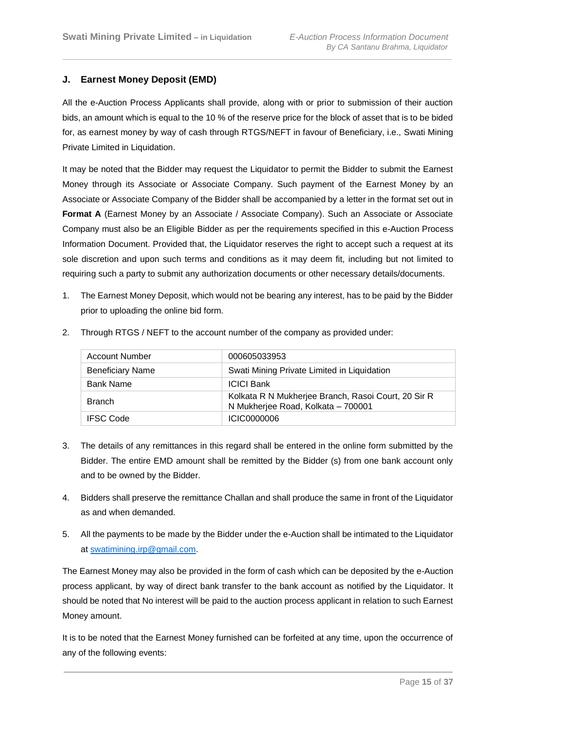# <span id="page-14-0"></span>**J. Earnest Money Deposit (EMD)**

All the e-Auction Process Applicants shall provide, along with or prior to submission of their auction bids, an amount which is equal to the 10 % of the reserve price for the block of asset that is to be bided for, as earnest money by way of cash through RTGS/NEFT in favour of Beneficiary, i.e., Swati Mining Private Limited in Liquidation.

It may be noted that the Bidder may request the Liquidator to permit the Bidder to submit the Earnest Money through its Associate or Associate Company. Such payment of the Earnest Money by an Associate or Associate Company of the Bidder shall be accompanied by a letter in the format set out in **Format A** (Earnest Money by an Associate / Associate Company). Such an Associate or Associate Company must also be an Eligible Bidder as per the requirements specified in this e-Auction Process Information Document. Provided that, the Liquidator reserves the right to accept such a request at its sole discretion and upon such terms and conditions as it may deem fit, including but not limited to requiring such a party to submit any authorization documents or other necessary details/documents.

1. The Earnest Money Deposit, which would not be bearing any interest, has to be paid by the Bidder prior to uploading the online bid form.

| <b>Account Number</b>   | 000605033953                                                                              |
|-------------------------|-------------------------------------------------------------------------------------------|
| <b>Beneficiary Name</b> | Swati Mining Private Limited in Liquidation                                               |
| <b>Bank Name</b>        | <b>ICICI Bank</b>                                                                         |
| <b>Branch</b>           | Kolkata R N Mukherjee Branch, Rasoi Court, 20 Sir R<br>N Mukherjee Road, Kolkata - 700001 |
| <b>IFSC Code</b>        | ICIC0000006                                                                               |

2. Through RTGS / NEFT to the account number of the company as provided under:

- 3. The details of any remittances in this regard shall be entered in the online form submitted by the Bidder. The entire EMD amount shall be remitted by the Bidder (s) from one bank account only and to be owned by the Bidder.
- 4. Bidders shall preserve the remittance Challan and shall produce the same in front of the Liquidator as and when demanded.
- 5. All the payments to be made by the Bidder under the e-Auction shall be intimated to the Liquidator at [swatimining.irp@gmail.com.](mailto:swatimining.irp@gmail.com)

The Earnest Money may also be provided in the form of cash which can be deposited by the e-Auction process applicant, by way of direct bank transfer to the bank account as notified by the Liquidator. It should be noted that No interest will be paid to the auction process applicant in relation to such Earnest Money amount.

It is to be noted that the Earnest Money furnished can be forfeited at any time, upon the occurrence of any of the following events: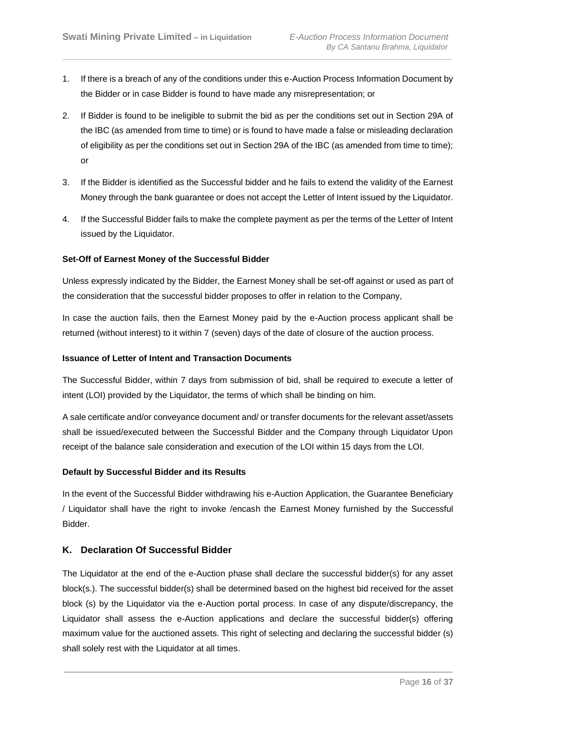- 1. If there is a breach of any of the conditions under this e-Auction Process Information Document by the Bidder or in case Bidder is found to have made any misrepresentation; or
- 2. If Bidder is found to be ineligible to submit the bid as per the conditions set out in Section 29A of the IBC (as amended from time to time) or is found to have made a false or misleading declaration of eligibility as per the conditions set out in Section 29A of the IBC (as amended from time to time); or
- 3. If the Bidder is identified as the Successful bidder and he fails to extend the validity of the Earnest Money through the bank guarantee or does not accept the Letter of Intent issued by the Liquidator.
- 4. If the Successful Bidder fails to make the complete payment as per the terms of the Letter of Intent issued by the Liquidator.

#### **Set-Off of Earnest Money of the Successful Bidder**

Unless expressly indicated by the Bidder, the Earnest Money shall be set-off against or used as part of the consideration that the successful bidder proposes to offer in relation to the Company,

In case the auction fails, then the Earnest Money paid by the e-Auction process applicant shall be returned (without interest) to it within 7 (seven) days of the date of closure of the auction process.

#### **Issuance of Letter of Intent and Transaction Documents**

The Successful Bidder, within 7 days from submission of bid, shall be required to execute a letter of intent (LOI) provided by the Liquidator, the terms of which shall be binding on him.

A sale certificate and/or conveyance document and/ or transfer documents for the relevant asset/assets shall be issued/executed between the Successful Bidder and the Company through Liquidator Upon receipt of the balance sale consideration and execution of the LOI within 15 days from the LOI.

#### **Default by Successful Bidder and its Results**

In the event of the Successful Bidder withdrawing his e-Auction Application, the Guarantee Beneficiary / Liquidator shall have the right to invoke /encash the Earnest Money furnished by the Successful Bidder.

#### <span id="page-15-0"></span>**K. Declaration Of Successful Bidder**

The Liquidator at the end of the e-Auction phase shall declare the successful bidder(s) for any asset block(s.). The successful bidder(s) shall be determined based on the highest bid received for the asset block (s) by the Liquidator via the e-Auction portal process. In case of any dispute/discrepancy, the Liquidator shall assess the e-Auction applications and declare the successful bidder(s) offering maximum value for the auctioned assets. This right of selecting and declaring the successful bidder (s) shall solely rest with the Liquidator at all times.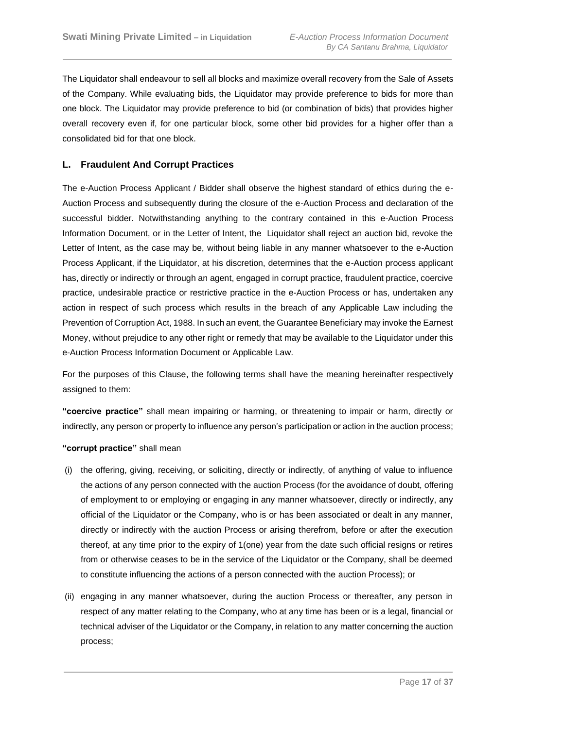The Liquidator shall endeavour to sell all blocks and maximize overall recovery from the Sale of Assets of the Company. While evaluating bids, the Liquidator may provide preference to bids for more than one block. The Liquidator may provide preference to bid (or combination of bids) that provides higher overall recovery even if, for one particular block, some other bid provides for a higher offer than a consolidated bid for that one block.

# <span id="page-16-0"></span>**L. Fraudulent And Corrupt Practices**

The e-Auction Process Applicant / Bidder shall observe the highest standard of ethics during the e-Auction Process and subsequently during the closure of the e-Auction Process and declaration of the successful bidder. Notwithstanding anything to the contrary contained in this e-Auction Process Information Document, or in the Letter of Intent, the Liquidator shall reject an auction bid, revoke the Letter of Intent, as the case may be, without being liable in any manner whatsoever to the e-Auction Process Applicant, if the Liquidator, at his discretion, determines that the e-Auction process applicant has, directly or indirectly or through an agent, engaged in corrupt practice, fraudulent practice, coercive practice, undesirable practice or restrictive practice in the e-Auction Process or has, undertaken any action in respect of such process which results in the breach of any Applicable Law including the Prevention of Corruption Act, 1988. In such an event, the Guarantee Beneficiary may invoke the Earnest Money, without prejudice to any other right or remedy that may be available to the Liquidator under this e-Auction Process Information Document or Applicable Law.

For the purposes of this Clause, the following terms shall have the meaning hereinafter respectively assigned to them:

**"coercive practice"** shall mean impairing or harming, or threatening to impair or harm, directly or indirectly, any person or property to influence any person's participation or action in the auction process;

#### **"corrupt practice"** shall mean

- (i) the offering, giving, receiving, or soliciting, directly or indirectly, of anything of value to influence the actions of any person connected with the auction Process (for the avoidance of doubt, offering of employment to or employing or engaging in any manner whatsoever, directly or indirectly, any official of the Liquidator or the Company, who is or has been associated or dealt in any manner, directly or indirectly with the auction Process or arising therefrom, before or after the execution thereof, at any time prior to the expiry of 1(one) year from the date such official resigns or retires from or otherwise ceases to be in the service of the Liquidator or the Company, shall be deemed to constitute influencing the actions of a person connected with the auction Process); or
- (ii) engaging in any manner whatsoever, during the auction Process or thereafter, any person in respect of any matter relating to the Company, who at any time has been or is a legal, financial or technical adviser of the Liquidator or the Company, in relation to any matter concerning the auction process;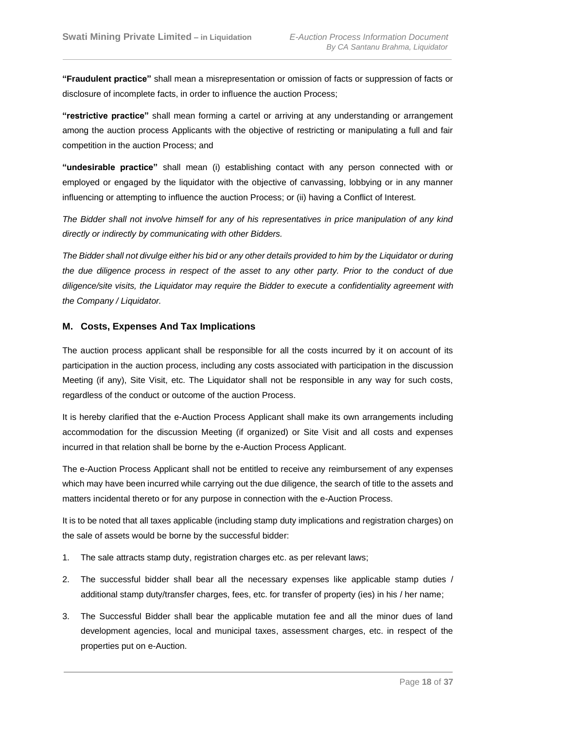**"Fraudulent practice"** shall mean a misrepresentation or omission of facts or suppression of facts or disclosure of incomplete facts, in order to influence the auction Process;

**"restrictive practice"** shall mean forming a cartel or arriving at any understanding or arrangement among the auction process Applicants with the objective of restricting or manipulating a full and fair competition in the auction Process; and

**"undesirable practice"** shall mean (i) establishing contact with any person connected with or employed or engaged by the liquidator with the objective of canvassing, lobbying or in any manner influencing or attempting to influence the auction Process; or (ii) having a Conflict of Interest.

*The Bidder shall not involve himself for any of his representatives in price manipulation of any kind directly or indirectly by communicating with other Bidders.*

*The Bidder shall not divulge either his bid or any other details provided to him by the Liquidator or during the due diligence process in respect of the asset to any other party. Prior to the conduct of due diligence/site visits, the Liquidator may require the Bidder to execute a confidentiality agreement with the Company / Liquidator.*

# <span id="page-17-0"></span>**M. Costs, Expenses And Tax Implications**

The auction process applicant shall be responsible for all the costs incurred by it on account of its participation in the auction process, including any costs associated with participation in the discussion Meeting (if any), Site Visit, etc. The Liquidator shall not be responsible in any way for such costs, regardless of the conduct or outcome of the auction Process.

It is hereby clarified that the e-Auction Process Applicant shall make its own arrangements including accommodation for the discussion Meeting (if organized) or Site Visit and all costs and expenses incurred in that relation shall be borne by the e-Auction Process Applicant.

The e-Auction Process Applicant shall not be entitled to receive any reimbursement of any expenses which may have been incurred while carrying out the due diligence, the search of title to the assets and matters incidental thereto or for any purpose in connection with the e-Auction Process.

It is to be noted that all taxes applicable (including stamp duty implications and registration charges) on the sale of assets would be borne by the successful bidder:

- 1. The sale attracts stamp duty, registration charges etc. as per relevant laws;
- 2. The successful bidder shall bear all the necessary expenses like applicable stamp duties / additional stamp duty/transfer charges, fees, etc. for transfer of property (ies) in his / her name;
- 3. The Successful Bidder shall bear the applicable mutation fee and all the minor dues of land development agencies, local and municipal taxes, assessment charges, etc. in respect of the properties put on e-Auction.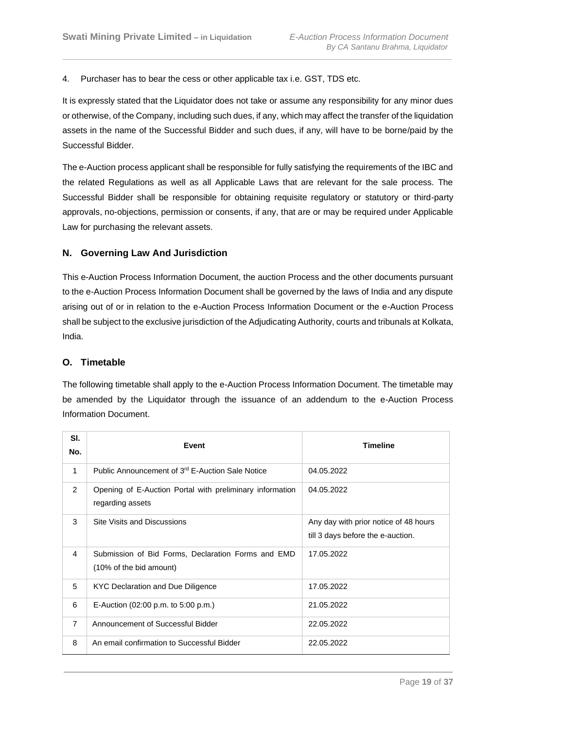4. Purchaser has to bear the cess or other applicable tax i.e. GST, TDS etc.

It is expressly stated that the Liquidator does not take or assume any responsibility for any minor dues or otherwise, of the Company, including such dues, if any, which may affect the transfer of the liquidation assets in the name of the Successful Bidder and such dues, if any, will have to be borne/paid by the Successful Bidder.

The e-Auction process applicant shall be responsible for fully satisfying the requirements of the IBC and the related Regulations as well as all Applicable Laws that are relevant for the sale process. The Successful Bidder shall be responsible for obtaining requisite regulatory or statutory or third-party approvals, no-objections, permission or consents, if any, that are or may be required under Applicable Law for purchasing the relevant assets.

# <span id="page-18-0"></span>**N. Governing Law And Jurisdiction**

This e-Auction Process Information Document, the auction Process and the other documents pursuant to the e-Auction Process Information Document shall be governed by the laws of India and any dispute arising out of or in relation to the e-Auction Process Information Document or the e-Auction Process shall be subject to the exclusive jurisdiction of the Adjudicating Authority, courts and tribunals at Kolkata, India.

# <span id="page-18-1"></span>**O. Timetable**

The following timetable shall apply to the e-Auction Process Information Document. The timetable may be amended by the Liquidator through the issuance of an addendum to the e-Auction Process Information Document.

| SI.<br>No.     | Event                                                                         | <b>Timeline</b>                                                            |
|----------------|-------------------------------------------------------------------------------|----------------------------------------------------------------------------|
| 1              | Public Announcement of 3 <sup>rd</sup> E-Auction Sale Notice                  | 04.05.2022                                                                 |
| 2              | Opening of E-Auction Portal with preliminary information<br>regarding assets  | 04.05.2022                                                                 |
| 3              | Site Visits and Discussions                                                   | Any day with prior notice of 48 hours<br>till 3 days before the e-auction. |
| 4              | Submission of Bid Forms, Declaration Forms and EMD<br>(10% of the bid amount) | 17.05.2022                                                                 |
| 5              | KYC Declaration and Due Diligence                                             | 17.05.2022                                                                 |
| 6              | E-Auction $(02:00 \text{ p.m. to } 5:00 \text{ p.m.})$                        | 21.05.2022                                                                 |
| $\overline{7}$ | Announcement of Successful Bidder                                             | 22.05.2022                                                                 |
| 8              | An email confirmation to Successful Bidder                                    | 22.05.2022                                                                 |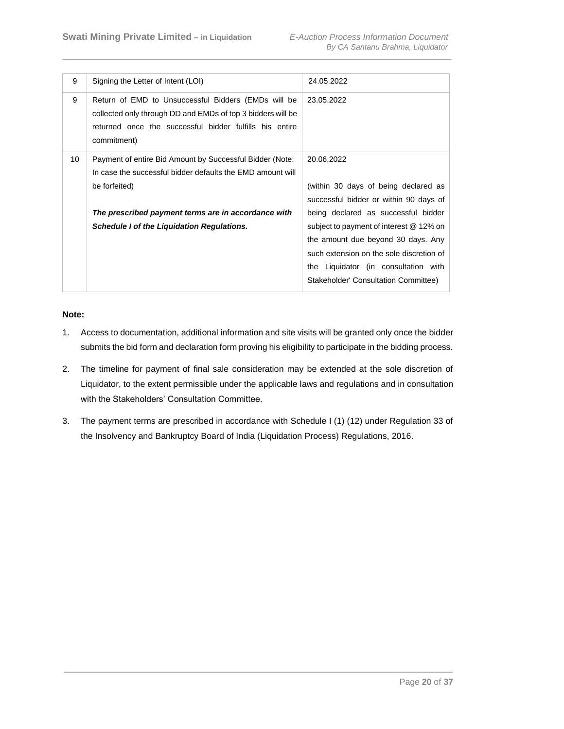| 9  | Signing the Letter of Intent (LOI)                                                                                                                                                           | 24.05.2022                                                                                                                                                                                               |
|----|----------------------------------------------------------------------------------------------------------------------------------------------------------------------------------------------|----------------------------------------------------------------------------------------------------------------------------------------------------------------------------------------------------------|
| 9  | Return of EMD to Unsuccessful Bidders (EMDs will be<br>collected only through DD and EMDs of top 3 bidders will be<br>returned once the successful bidder fulfills his entire<br>commitment) | 23.05.2022                                                                                                                                                                                               |
| 10 | Payment of entire Bid Amount by Successful Bidder (Note:<br>In case the successful bidder defaults the EMD amount will<br>be forfeited)                                                      | 20.06.2022<br>(within 30 days of being declared as<br>successful bidder or within 90 days of                                                                                                             |
|    | The prescribed payment terms are in accordance with<br><b>Schedule I of the Liquidation Regulations.</b>                                                                                     | being declared as successful bidder<br>subject to payment of interest @ 12% on<br>the amount due beyond 30 days. Any<br>such extension on the sole discretion of<br>the Liquidator (in consultation with |
|    |                                                                                                                                                                                              | Stakeholder' Consultation Committee)                                                                                                                                                                     |

# **Note:**

- 1. Access to documentation, additional information and site visits will be granted only once the bidder submits the bid form and declaration form proving his eligibility to participate in the bidding process.
- 2. The timeline for payment of final sale consideration may be extended at the sole discretion of Liquidator, to the extent permissible under the applicable laws and regulations and in consultation with the Stakeholders' Consultation Committee.
- 3. The payment terms are prescribed in accordance with Schedule I (1) (12) under Regulation 33 of the Insolvency and Bankruptcy Board of India (Liquidation Process) Regulations, 2016.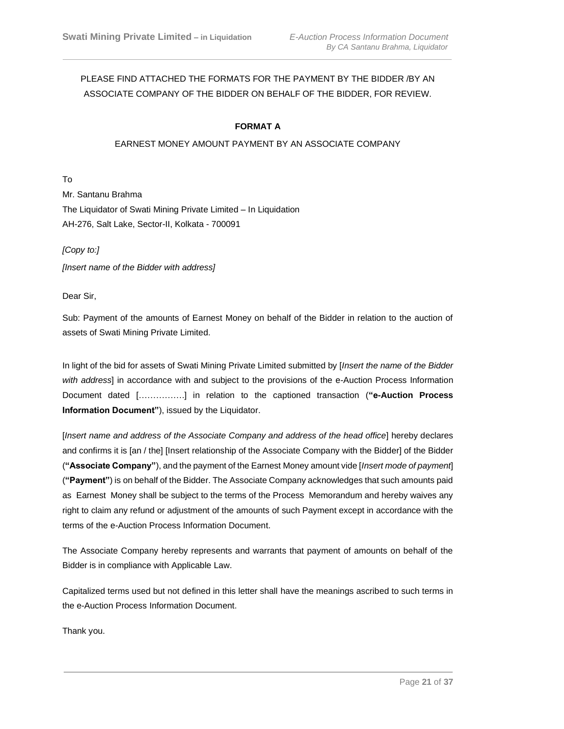# PLEASE FIND ATTACHED THE FORMATS FOR THE PAYMENT BY THE BIDDER /BY AN ASSOCIATE COMPANY OF THE BIDDER ON BEHALF OF THE BIDDER, FOR REVIEW.

# **FORMAT A**

#### EARNEST MONEY AMOUNT PAYMENT BY AN ASSOCIATE COMPANY

To

Mr. Santanu Brahma The Liquidator of Swati Mining Private Limited – In Liquidation AH-276, Salt Lake, Sector-II, Kolkata - 700091

*[Copy to:]*

*[Insert name of the Bidder with address]* 

Dear Sir,

Sub: Payment of the amounts of Earnest Money on behalf of the Bidder in relation to the auction of assets of Swati Mining Private Limited.

In light of the bid for assets of Swati Mining Private Limited submitted by [*Insert the name of the Bidder with address*] in accordance with and subject to the provisions of the e-Auction Process Information Document dated […………….] in relation to the captioned transaction (**"e-Auction Process Information Document"**), issued by the Liquidator.

[*Insert name and address of the Associate Company and address of the head office*] hereby declares and confirms it is [an / the] [Insert relationship of the Associate Company with the Bidder] of the Bidder (**"Associate Company"**), and the payment of the Earnest Money amount vide [*Insert mode of payment*] (**"Payment"**) is on behalf of the Bidder. The Associate Company acknowledges that such amounts paid as Earnest Money shall be subject to the terms of the Process Memorandum and hereby waives any right to claim any refund or adjustment of the amounts of such Payment except in accordance with the terms of the e-Auction Process Information Document.

The Associate Company hereby represents and warrants that payment of amounts on behalf of the Bidder is in compliance with Applicable Law.

Capitalized terms used but not defined in this letter shall have the meanings ascribed to such terms in the e-Auction Process Information Document.

Thank you.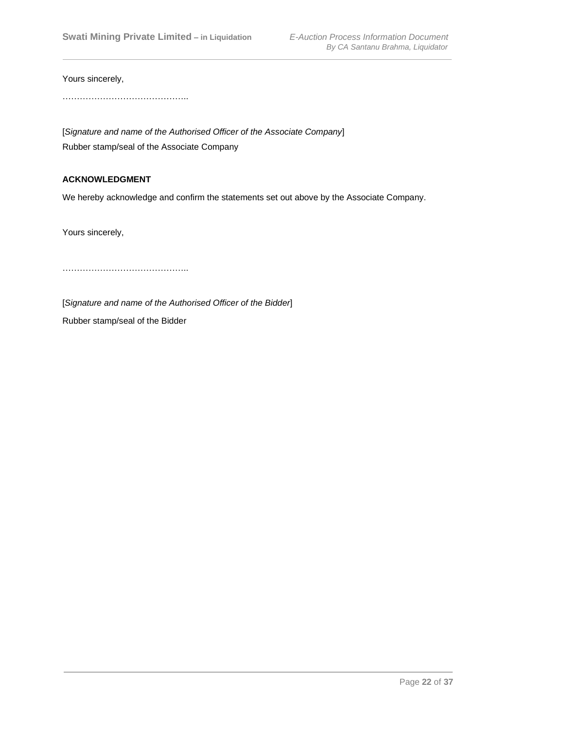Yours sincerely,

…………………………………………

[*Signature and name of the Authorised Officer of the Associate Company*] Rubber stamp/seal of the Associate Company

# **ACKNOWLEDGMENT**

We hereby acknowledge and confirm the statements set out above by the Associate Company.

Yours sincerely,

……………………………………..

[*Signature and name of the Authorised Officer of the Bidder*]

Rubber stamp/seal of the Bidder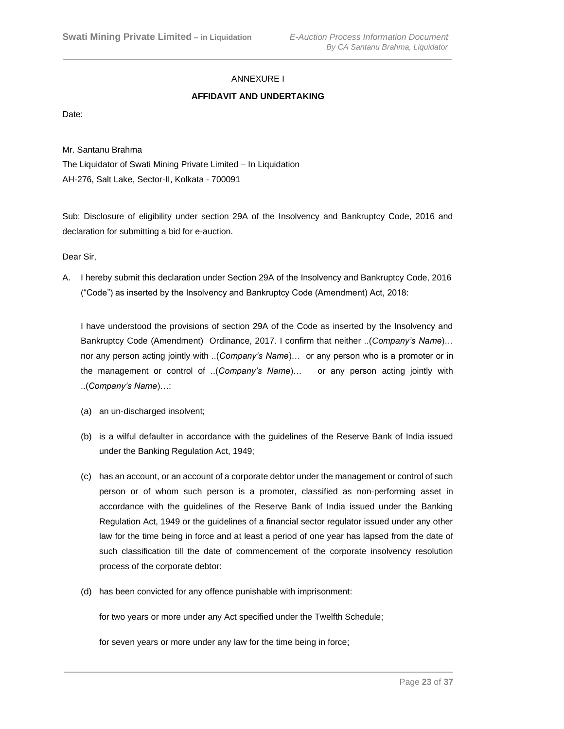# ANNEXURE I

# **AFFIDAVIT AND UNDERTAKING**

Date:

Mr. Santanu Brahma

The Liquidator of Swati Mining Private Limited – In Liquidation AH-276, Salt Lake, Sector-II, Kolkata - 700091

Sub: Disclosure of eligibility under section 29A of the Insolvency and Bankruptcy Code, 2016 and declaration for submitting a bid for e-auction.

Dear Sir,

A. I hereby submit this declaration under Section 29A of the Insolvency and Bankruptcy Code, 2016 ("Code") as inserted by the Insolvency and Bankruptcy Code (Amendment) Act, 2018:

I have understood the provisions of section 29A of the Code as inserted by the Insolvency and Bankruptcy Code (Amendment) Ordinance, 2017. I confirm that neither ..(*Company's Name*)… nor any person acting jointly with ..(*Company's Name*)… or any person who is a promoter or in the management or control of ..(*Company's Name*)… or any person acting jointly with ..(*Company's Name*)…:

- (a) an un-discharged insolvent;
- (b) is a wilful defaulter in accordance with the guidelines of the Reserve Bank of India issued under the Banking Regulation Act, 1949;
- (c) has an account, or an account of a corporate debtor under the management or control of such person or of whom such person is a promoter, classified as non-performing asset in accordance with the guidelines of the Reserve Bank of India issued under the Banking Regulation Act, 1949 or the guidelines of a financial sector regulator issued under any other law for the time being in force and at least a period of one year has lapsed from the date of such classification till the date of commencement of the corporate insolvency resolution process of the corporate debtor:
- (d) has been convicted for any offence punishable with imprisonment:

for two years or more under any Act specified under the Twelfth Schedule;

for seven years or more under any law for the time being in force;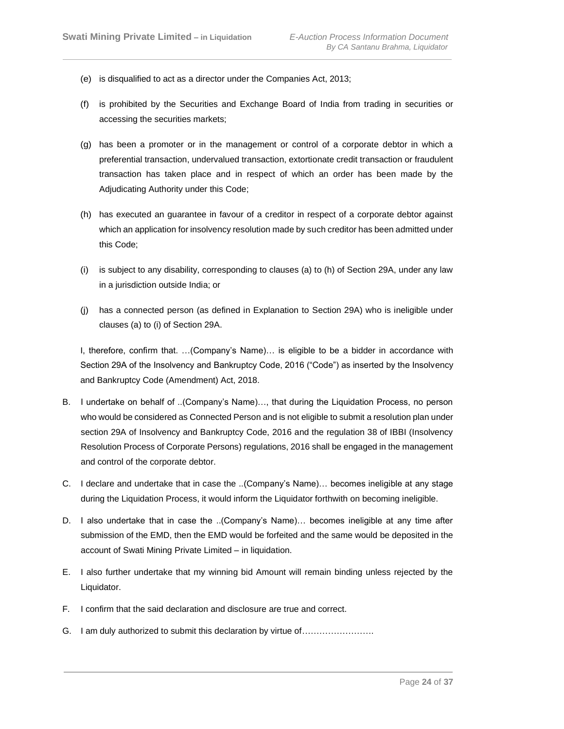- (e) is disqualified to act as a director under the Companies Act, 2013;
- (f) is prohibited by the Securities and Exchange Board of India from trading in securities or accessing the securities markets;
- (g) has been a promoter or in the management or control of a corporate debtor in which a preferential transaction, undervalued transaction, extortionate credit transaction or fraudulent transaction has taken place and in respect of which an order has been made by the Adjudicating Authority under this Code;
- (h) has executed an guarantee in favour of a creditor in respect of a corporate debtor against which an application for insolvency resolution made by such creditor has been admitted under this Code;
- (i) is subject to any disability, corresponding to clauses (a) to (h) of Section 29A, under any law in a jurisdiction outside India; or
- (j) has a connected person (as defined in Explanation to Section 29A) who is ineligible under clauses (a) to (i) of Section 29A.

I, therefore, confirm that. …(Company's Name)… is eligible to be a bidder in accordance with Section 29A of the Insolvency and Bankruptcy Code, 2016 ("Code") as inserted by the Insolvency and Bankruptcy Code (Amendment) Act, 2018.

- B. I undertake on behalf of ..(Company's Name)…, that during the Liquidation Process, no person who would be considered as Connected Person and is not eligible to submit a resolution plan under section 29A of Insolvency and Bankruptcy Code, 2016 and the regulation 38 of IBBI (Insolvency Resolution Process of Corporate Persons) regulations, 2016 shall be engaged in the management and control of the corporate debtor.
- C. I declare and undertake that in case the ..(Company's Name)… becomes ineligible at any stage during the Liquidation Process, it would inform the Liquidator forthwith on becoming ineligible.
- D. I also undertake that in case the ..(Company's Name)… becomes ineligible at any time after submission of the EMD, then the EMD would be forfeited and the same would be deposited in the account of Swati Mining Private Limited – in liquidation.
- E. I also further undertake that my winning bid Amount will remain binding unless rejected by the Liquidator.
- F. I confirm that the said declaration and disclosure are true and correct.
- G. I am duly authorized to submit this declaration by virtue of…………………….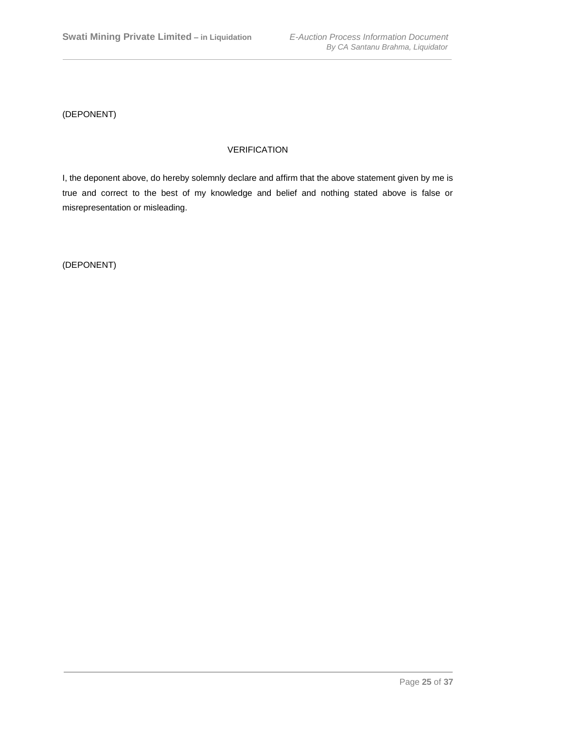(DEPONENT)

# VERIFICATION

I, the deponent above, do hereby solemnly declare and affirm that the above statement given by me is true and correct to the best of my knowledge and belief and nothing stated above is false or misrepresentation or misleading.

(DEPONENT)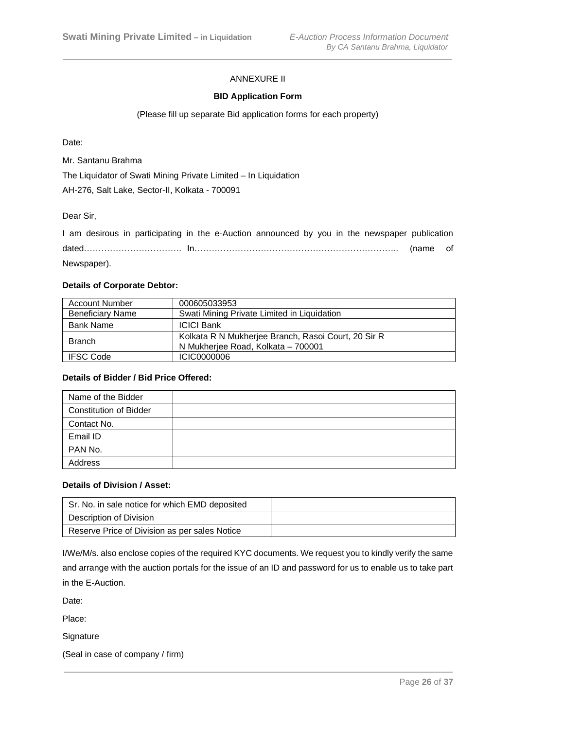# ANNEXURE II

#### **BID Application Form**

#### (Please fill up separate Bid application forms for each property)

Date:

Mr. Santanu Brahma

The Liquidator of Swati Mining Private Limited – In Liquidation

AH-276, Salt Lake, Sector-II, Kolkata - 700091

Dear Sir,

|             | I am desirous in participating in the e-Auction announced by you in the newspaper publication |  |  |  |  |  |  |
|-------------|-----------------------------------------------------------------------------------------------|--|--|--|--|--|--|
|             |                                                                                               |  |  |  |  |  |  |
| Newspaper). |                                                                                               |  |  |  |  |  |  |

#### **Details of Corporate Debtor:**

| <b>Account Number</b>   | 000605033953                                                                              |
|-------------------------|-------------------------------------------------------------------------------------------|
| <b>Beneficiary Name</b> | Swati Mining Private Limited in Liquidation                                               |
| <b>Bank Name</b>        | <b>ICICI Bank</b>                                                                         |
| <b>Branch</b>           | Kolkata R N Mukherjee Branch, Rasoi Court, 20 Sir R<br>N Mukherjee Road, Kolkata - 700001 |
| <b>IFSC Code</b>        | ICIC0000006                                                                               |

#### **Details of Bidder / Bid Price Offered:**

| Name of the Bidder            |  |
|-------------------------------|--|
| <b>Constitution of Bidder</b> |  |
| Contact No.                   |  |
| Email ID                      |  |
| PAN No.                       |  |
| Address                       |  |

#### **Details of Division / Asset:**

| Sr. No. in sale notice for which EMD deposited |  |
|------------------------------------------------|--|
| Description of Division                        |  |
| Reserve Price of Division as per sales Notice  |  |

I/We/M/s. also enclose copies of the required KYC documents. We request you to kindly verify the same and arrange with the auction portals for the issue of an ID and password for us to enable us to take part in the E-Auction.

Date:

Place:

Signature

(Seal in case of company / firm)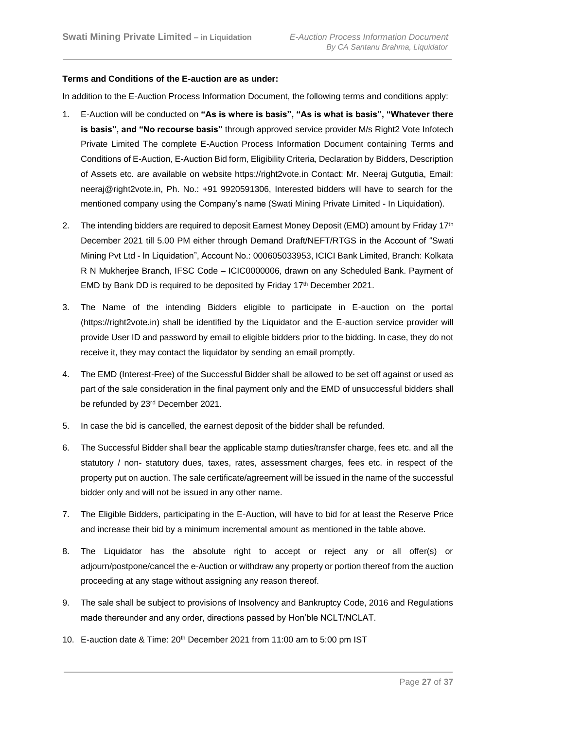#### **Terms and Conditions of the E-auction are as under:**

In addition to the E-Auction Process Information Document, the following terms and conditions apply:

- 1. E-Auction will be conducted on **"As is where is basis", "As is what is basis", "Whatever there is basis", and "No recourse basis"** through approved service provider M/s Right2 Vote Infotech Private Limited The complete E-Auction Process Information Document containing Terms and Conditions of E-Auction, E-Auction Bid form, Eligibility Criteria, Declaration by Bidders, Description of Assets etc. are available on website https://right2vote.in Contact: Mr. Neeraj Gutgutia, Email: neeraj@right2vote.in, Ph. No.: +91 9920591306, Interested bidders will have to search for the mentioned company using the Company's name (Swati Mining Private Limited - In Liquidation).
- 2. The intending bidders are required to deposit Earnest Money Deposit (EMD) amount by Friday 17<sup>th</sup> December 2021 till 5.00 PM either through Demand Draft/NEFT/RTGS in the Account of "Swati Mining Pvt Ltd - In Liquidation", Account No.: 000605033953, ICICI Bank Limited, Branch: Kolkata R N Mukherjee Branch, IFSC Code – ICIC0000006, drawn on any Scheduled Bank. Payment of EMD by Bank DD is required to be deposited by Friday 17<sup>th</sup> December 2021.
- 3. The Name of the intending Bidders eligible to participate in E-auction on the portal (https://right2vote.in) shall be identified by the Liquidator and the E-auction service provider will provide User ID and password by email to eligible bidders prior to the bidding. In case, they do not receive it, they may contact the liquidator by sending an email promptly.
- 4. The EMD (Interest-Free) of the Successful Bidder shall be allowed to be set off against or used as part of the sale consideration in the final payment only and the EMD of unsuccessful bidders shall be refunded by 23<sup>rd</sup> December 2021.
- 5. In case the bid is cancelled, the earnest deposit of the bidder shall be refunded.
- 6. The Successful Bidder shall bear the applicable stamp duties/transfer charge, fees etc. and all the statutory / non- statutory dues, taxes, rates, assessment charges, fees etc. in respect of the property put on auction. The sale certificate/agreement will be issued in the name of the successful bidder only and will not be issued in any other name.
- 7. The Eligible Bidders, participating in the E-Auction, will have to bid for at least the Reserve Price and increase their bid by a minimum incremental amount as mentioned in the table above.
- 8. The Liquidator has the absolute right to accept or reject any or all offer(s) or adjourn/postpone/cancel the e-Auction or withdraw any property or portion thereof from the auction proceeding at any stage without assigning any reason thereof.
- 9. The sale shall be subject to provisions of Insolvency and Bankruptcy Code, 2016 and Regulations made thereunder and any order, directions passed by Hon'ble NCLT/NCLAT.
- 10. E-auction date & Time: 20<sup>th</sup> December 2021 from 11:00 am to 5:00 pm IST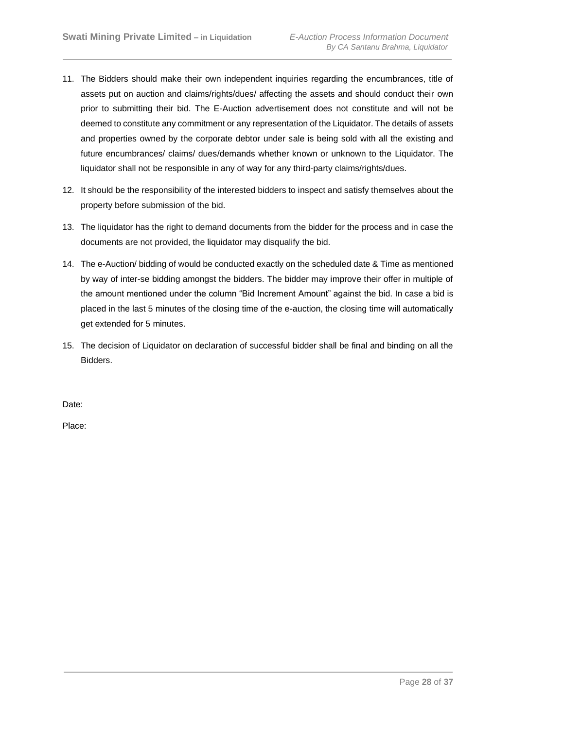- 11. The Bidders should make their own independent inquiries regarding the encumbrances, title of assets put on auction and claims/rights/dues/ affecting the assets and should conduct their own prior to submitting their bid. The E-Auction advertisement does not constitute and will not be deemed to constitute any commitment or any representation of the Liquidator. The details of assets and properties owned by the corporate debtor under sale is being sold with all the existing and future encumbrances/ claims/ dues/demands whether known or unknown to the Liquidator. The liquidator shall not be responsible in any of way for any third-party claims/rights/dues.
- 12. It should be the responsibility of the interested bidders to inspect and satisfy themselves about the property before submission of the bid.
- 13. The liquidator has the right to demand documents from the bidder for the process and in case the documents are not provided, the liquidator may disqualify the bid.
- 14. The e-Auction/ bidding of would be conducted exactly on the scheduled date & Time as mentioned by way of inter-se bidding amongst the bidders. The bidder may improve their offer in multiple of the amount mentioned under the column "Bid Increment Amount" against the bid. In case a bid is placed in the last 5 minutes of the closing time of the e-auction, the closing time will automatically get extended for 5 minutes.
- 15. The decision of Liquidator on declaration of successful bidder shall be final and binding on all the Bidders.

Date:

Place: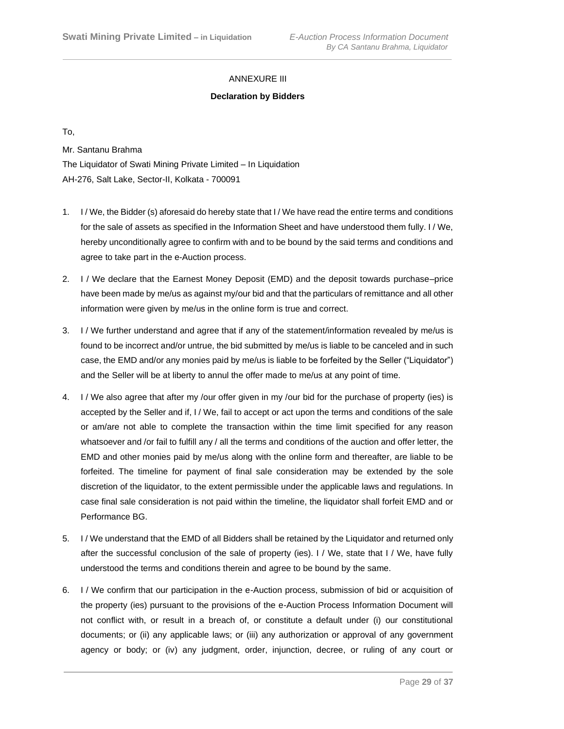# ANNEXURE III

# **Declaration by Bidders**

To,

Mr. Santanu Brahma

The Liquidator of Swati Mining Private Limited – In Liquidation AH-276, Salt Lake, Sector-II, Kolkata - 700091

- 1. I / We, the Bidder (s) aforesaid do hereby state that I / We have read the entire terms and conditions for the sale of assets as specified in the Information Sheet and have understood them fully. I / We, hereby unconditionally agree to confirm with and to be bound by the said terms and conditions and agree to take part in the e-Auction process.
- 2. I / We declare that the Earnest Money Deposit (EMD) and the deposit towards purchase–price have been made by me/us as against my/our bid and that the particulars of remittance and all other information were given by me/us in the online form is true and correct.
- 3. I / We further understand and agree that if any of the statement/information revealed by me/us is found to be incorrect and/or untrue, the bid submitted by me/us is liable to be canceled and in such case, the EMD and/or any monies paid by me/us is liable to be forfeited by the Seller ("Liquidator") and the Seller will be at liberty to annul the offer made to me/us at any point of time.
- 4. I / We also agree that after my /our offer given in my /our bid for the purchase of property (ies) is accepted by the Seller and if, I / We, fail to accept or act upon the terms and conditions of the sale or am/are not able to complete the transaction within the time limit specified for any reason whatsoever and /or fail to fulfill any / all the terms and conditions of the auction and offer letter, the EMD and other monies paid by me/us along with the online form and thereafter, are liable to be forfeited. The timeline for payment of final sale consideration may be extended by the sole discretion of the liquidator, to the extent permissible under the applicable laws and regulations. In case final sale consideration is not paid within the timeline, the liquidator shall forfeit EMD and or Performance BG.
- 5. I / We understand that the EMD of all Bidders shall be retained by the Liquidator and returned only after the successful conclusion of the sale of property (ies). I / We, state that I / We, have fully understood the terms and conditions therein and agree to be bound by the same.
- 6. I / We confirm that our participation in the e-Auction process, submission of bid or acquisition of the property (ies) pursuant to the provisions of the e-Auction Process Information Document will not conflict with, or result in a breach of, or constitute a default under (i) our constitutional documents; or (ii) any applicable laws; or (iii) any authorization or approval of any government agency or body; or (iv) any judgment, order, injunction, decree, or ruling of any court or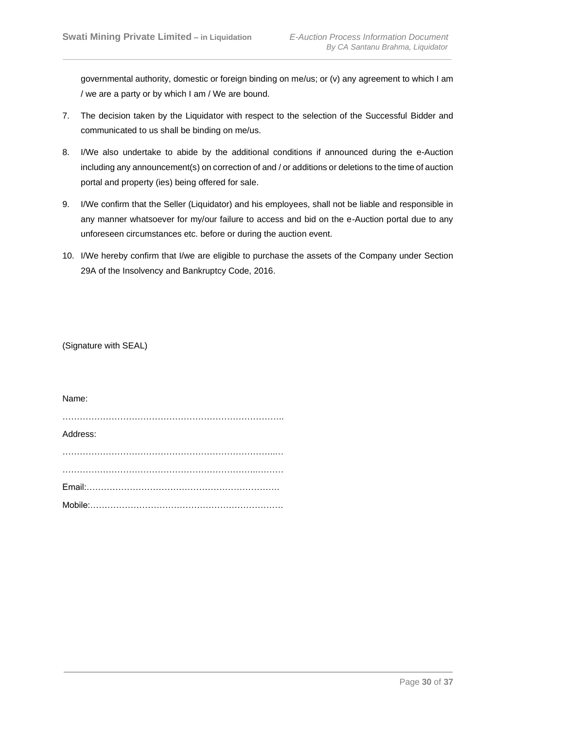governmental authority, domestic or foreign binding on me/us; or (v) any agreement to which I am / we are a party or by which I am / We are bound.

- 7. The decision taken by the Liquidator with respect to the selection of the Successful Bidder and communicated to us shall be binding on me/us.
- 8. I/We also undertake to abide by the additional conditions if announced during the e-Auction including any announcement(s) on correction of and / or additions or deletions to the time of auction portal and property (ies) being offered for sale.
- 9. I/We confirm that the Seller (Liquidator) and his employees, shall not be liable and responsible in any manner whatsoever for my/our failure to access and bid on the e-Auction portal due to any unforeseen circumstances etc. before or during the auction event.
- 10. I/We hereby confirm that I/we are eligible to purchase the assets of the Company under Section 29A of the Insolvency and Bankruptcy Code, 2016.

(Signature with SEAL)

Name: ………………………………………………………………….. Address: ………………………………………………………………..… …………………………………………………………..……… Email:…………………………………………………………. Mobile:………………………………………………………….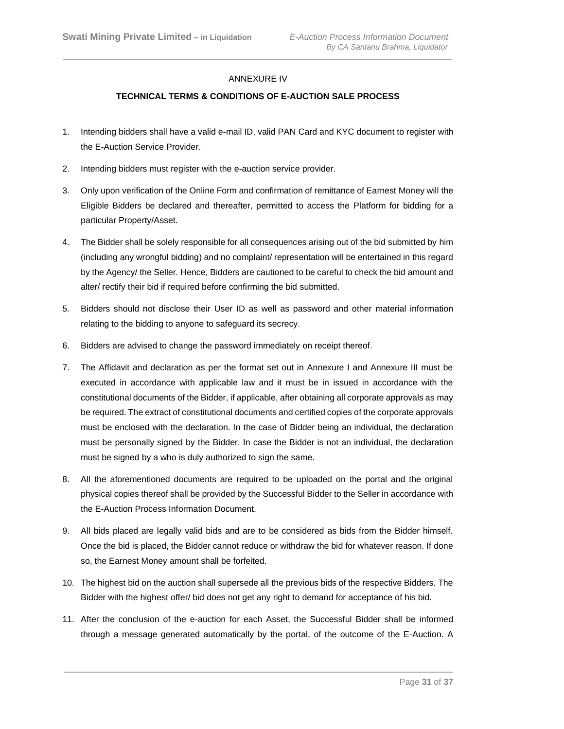# ANNEXURE IV

# **TECHNICAL TERMS & CONDITIONS OF E-AUCTION SALE PROCESS**

- 1. Intending bidders shall have a valid e-mail ID, valid PAN Card and KYC document to register with the E-Auction Service Provider.
- 2. Intending bidders must register with the e-auction service provider.
- 3. Only upon verification of the Online Form and confirmation of remittance of Earnest Money will the Eligible Bidders be declared and thereafter, permitted to access the Platform for bidding for a particular Property/Asset.
- 4. The Bidder shall be solely responsible for all consequences arising out of the bid submitted by him (including any wrongful bidding) and no complaint/ representation will be entertained in this regard by the Agency/ the Seller. Hence, Bidders are cautioned to be careful to check the bid amount and alter/ rectify their bid if required before confirming the bid submitted.
- 5. Bidders should not disclose their User ID as well as password and other material information relating to the bidding to anyone to safeguard its secrecy.
- 6. Bidders are advised to change the password immediately on receipt thereof.
- 7. The Affidavit and declaration as per the format set out in Annexure I and Annexure III must be executed in accordance with applicable law and it must be in issued in accordance with the constitutional documents of the Bidder, if applicable, after obtaining all corporate approvals as may be required. The extract of constitutional documents and certified copies of the corporate approvals must be enclosed with the declaration. In the case of Bidder being an individual, the declaration must be personally signed by the Bidder. In case the Bidder is not an individual, the declaration must be signed by a who is duly authorized to sign the same.
- 8. All the aforementioned documents are required to be uploaded on the portal and the original physical copies thereof shall be provided by the Successful Bidder to the Seller in accordance with the E-Auction Process Information Document.
- 9. All bids placed are legally valid bids and are to be considered as bids from the Bidder himself. Once the bid is placed, the Bidder cannot reduce or withdraw the bid for whatever reason. If done so, the Earnest Money amount shall be forfeited.
- 10. The highest bid on the auction shall supersede all the previous bids of the respective Bidders. The Bidder with the highest offer/ bid does not get any right to demand for acceptance of his bid.
- 11. After the conclusion of the e-auction for each Asset, the Successful Bidder shall be informed through a message generated automatically by the portal, of the outcome of the E-Auction. A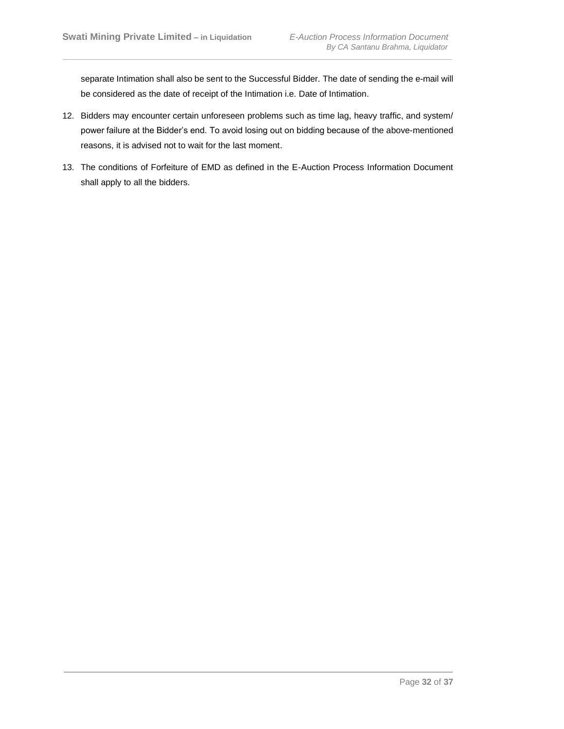separate Intimation shall also be sent to the Successful Bidder. The date of sending the e-mail will be considered as the date of receipt of the Intimation i.e. Date of Intimation.

- 12. Bidders may encounter certain unforeseen problems such as time lag, heavy traffic, and system/ power failure at the Bidder's end. To avoid losing out on bidding because of the above-mentioned reasons, it is advised not to wait for the last moment.
- 13. The conditions of Forfeiture of EMD as defined in the E-Auction Process Information Document shall apply to all the bidders.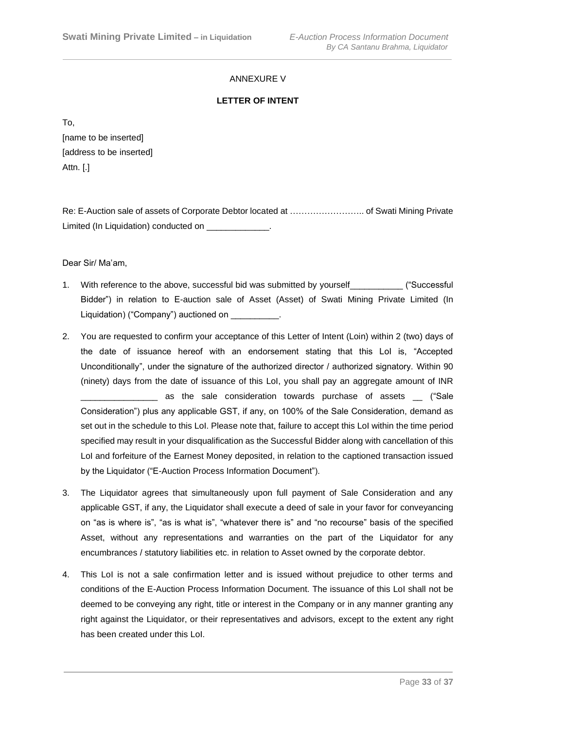# ANNEXURE V

# **LETTER OF INTENT**

To,

[name to be inserted] [address to be inserted] Attn. [.]

Re: E-Auction sale of assets of Corporate Debtor located at …………………….. of Swati Mining Private Limited (In Liquidation) conducted on \_\_\_\_\_\_\_\_\_\_\_\_\_.

Dear Sir/ Ma'am,

- 1. With reference to the above, successful bid was submitted by yourself\_\_\_\_\_\_\_\_\_\_\_ ("Successful Bidder") in relation to E-auction sale of Asset (Asset) of Swati Mining Private Limited (In Liquidation) ("Company") auctioned on \_\_\_\_\_\_\_\_\_.
- 2. You are requested to confirm your acceptance of this Letter of Intent (Loin) within 2 (two) days of the date of issuance hereof with an endorsement stating that this LoI is, "Accepted Unconditionally", under the signature of the authorized director / authorized signatory. Within 90 (ninety) days from the date of issuance of this LoI, you shall pay an aggregate amount of INR as the sale consideration towards purchase of assets ("Sale Consideration") plus any applicable GST, if any, on 100% of the Sale Consideration, demand as set out in the schedule to this LoI. Please note that, failure to accept this LoI within the time period specified may result in your disqualification as the Successful Bidder along with cancellation of this LoI and forfeiture of the Earnest Money deposited, in relation to the captioned transaction issued by the Liquidator ("E-Auction Process Information Document").
- 3. The Liquidator agrees that simultaneously upon full payment of Sale Consideration and any applicable GST, if any, the Liquidator shall execute a deed of sale in your favor for conveyancing on "as is where is", "as is what is", "whatever there is" and "no recourse" basis of the specified Asset, without any representations and warranties on the part of the Liquidator for any encumbrances / statutory liabilities etc. in relation to Asset owned by the corporate debtor.
- 4. This LoI is not a sale confirmation letter and is issued without prejudice to other terms and conditions of the E-Auction Process Information Document. The issuance of this LoI shall not be deemed to be conveying any right, title or interest in the Company or in any manner granting any right against the Liquidator, or their representatives and advisors, except to the extent any right has been created under this LoI.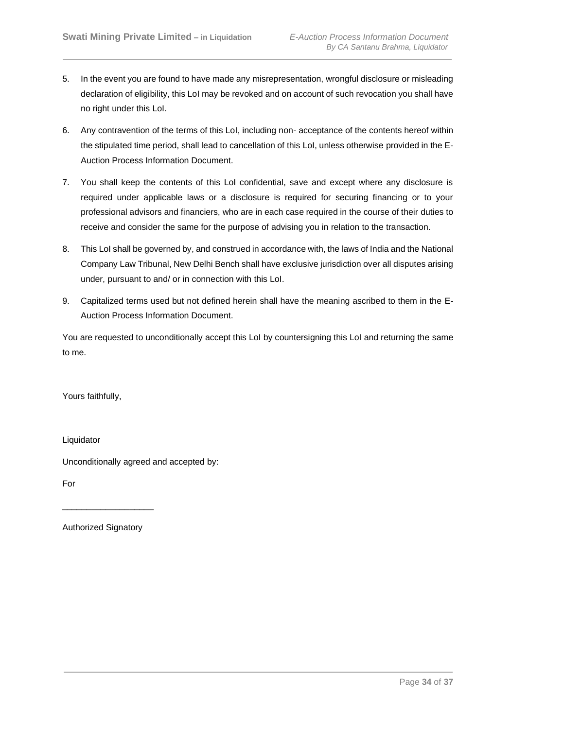- 5. In the event you are found to have made any misrepresentation, wrongful disclosure or misleading declaration of eligibility, this LoI may be revoked and on account of such revocation you shall have no right under this LoI.
- 6. Any contravention of the terms of this LoI, including non- acceptance of the contents hereof within the stipulated time period, shall lead to cancellation of this LoI, unless otherwise provided in the E-Auction Process Information Document.
- 7. You shall keep the contents of this LoI confidential, save and except where any disclosure is required under applicable laws or a disclosure is required for securing financing or to your professional advisors and financiers, who are in each case required in the course of their duties to receive and consider the same for the purpose of advising you in relation to the transaction.
- 8. This LoI shall be governed by, and construed in accordance with, the laws of India and the National Company Law Tribunal, New Delhi Bench shall have exclusive jurisdiction over all disputes arising under, pursuant to and/ or in connection with this LoI.
- 9. Capitalized terms used but not defined herein shall have the meaning ascribed to them in the E-Auction Process Information Document.

You are requested to unconditionally accept this LoI by countersigning this LoI and returning the same to me.

Yours faithfully,

Liquidator

Unconditionally agreed and accepted by:

For

Authorized Signatory

\_\_\_\_\_\_\_\_\_\_\_\_\_\_\_\_\_\_\_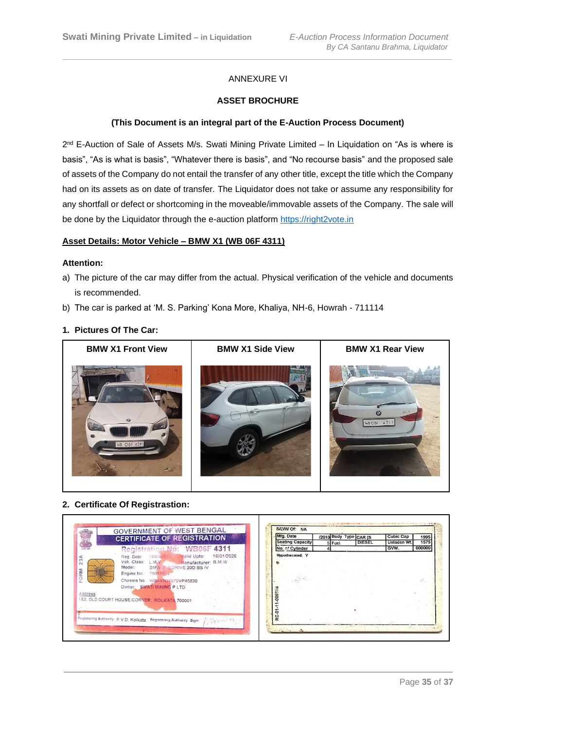# ANNEXURE VI

#### **ASSET BROCHURE**

#### **(This Document is an integral part of the E-Auction Process Document)**

2<sup>nd</sup> E-Auction of Sale of Assets M/s. Swati Mining Private Limited – In Liquidation on "As is where is basis", "As is what is basis", "Whatever there is basis", and "No recourse basis" and the proposed sale of assets of the Company do not entail the transfer of any other title, except the title which the Company had on its assets as on date of transfer. The Liquidator does [not take or assume a](https://right2vote.in/)ny responsibility for any shortfall or defect or shortcoming in the moveable/immovable assets of the Company. The sale will be done by the Liquidator through the e-auction platform https://right2vote.in

#### **Asset Details: Motor Vehicle – BMW X1 (WB 06F 4311)**

#### **Attention:**

- a) The picture of the car may differ from the actual. Physical verification of the vehicle and documents is recommended.
- b) The car is parked at 'M. S. Parking' Kona More, Khaliya, NH-6, Howrah 711114

#### **1. Pictures Of The Car:**



#### **2. Certificate Of Registrastion:**

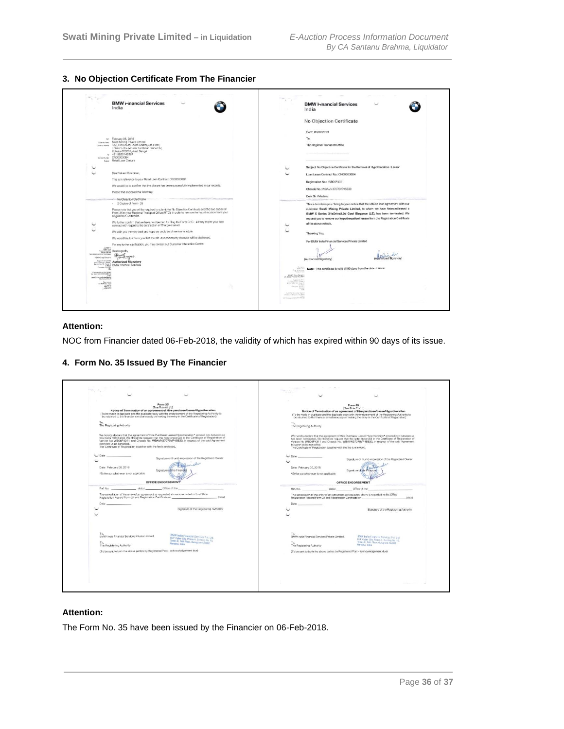**3. No Objection Certificate From The Financier**

|                                                                                                                                                                                                                                                                                                                             | <b>BMW Hnancial</b> Services<br>India                                                                                                                                                                                              |                                                 | <b>BMW I-mancial Services</b><br>India                                                                                                            |
|-----------------------------------------------------------------------------------------------------------------------------------------------------------------------------------------------------------------------------------------------------------------------------------------------------------------------------|------------------------------------------------------------------------------------------------------------------------------------------------------------------------------------------------------------------------------------|-------------------------------------------------|---------------------------------------------------------------------------------------------------------------------------------------------------|
|                                                                                                                                                                                                                                                                                                                             |                                                                                                                                                                                                                                    |                                                 | No Objection Certificate                                                                                                                          |
|                                                                                                                                                                                                                                                                                                                             |                                                                                                                                                                                                                                    |                                                 | Date: 06/02/2018                                                                                                                                  |
|                                                                                                                                                                                                                                                                                                                             | tw. Fobruary 06, 2018                                                                                                                                                                                                              |                                                 | To,                                                                                                                                               |
| Customer Name of<br>Customar Publishers                                                                                                                                                                                                                                                                                     | Swati Mining Private Limited<br>182. Old Court House Corner, 3rd Floor,<br>Tobacco House, Near Lal Bazar Police HQ,<br>Kolkata-700001, West Bengal                                                                                 |                                                 | The Regional Transport Office                                                                                                                     |
|                                                                                                                                                                                                                                                                                                                             | ra +91 9830149367                                                                                                                                                                                                                  |                                                 |                                                                                                                                                   |
| Donal Number                                                                                                                                                                                                                                                                                                                | CN00003084<br>says Retail Loan Closure                                                                                                                                                                                             |                                                 |                                                                                                                                                   |
|                                                                                                                                                                                                                                                                                                                             |                                                                                                                                                                                                                                    |                                                 | Subject: No Objection Certificate for the Removal of Hypothecation / Lessor                                                                       |
|                                                                                                                                                                                                                                                                                                                             | Dear Valued Customer.                                                                                                                                                                                                              |                                                 | Loan/Lease Contract No.: CN00003084                                                                                                               |
|                                                                                                                                                                                                                                                                                                                             | This is in reference to your Retail Loan Contract: CN00003084                                                                                                                                                                      |                                                 | Registration No.: WB06F4311                                                                                                                       |
|                                                                                                                                                                                                                                                                                                                             | We would like to confirm that the closure has been successfully implemented in our records.                                                                                                                                        |                                                 |                                                                                                                                                   |
|                                                                                                                                                                                                                                                                                                                             | Please find enclosed the following:                                                                                                                                                                                                |                                                 | Chassis No.; WBAVN37070VP45830                                                                                                                    |
|                                                                                                                                                                                                                                                                                                                             | No Objection Certificate                                                                                                                                                                                                           |                                                 | Dear Sir / Madam.                                                                                                                                 |
|                                                                                                                                                                                                                                                                                                                             | - 2 Copies of Farm - 35                                                                                                                                                                                                            |                                                 | This is to inform you / bring to your notice that the vehicle loan agreement with our                                                             |
|                                                                                                                                                                                                                                                                                                                             | Please note that you will be required to submit the No Objection Cartificate and the two copies of<br>Form-35 to your Regional Transport Office (RTO), in order to remove the hypothecation from your<br>Registration Certificate. |                                                 | customer Swati Mining Private Limited, to whom we have financed/leased a<br>BMW X Series X1sDrive2.0d Cool Elegance (LE), has been terminated. We |
|                                                                                                                                                                                                                                                                                                                             |                                                                                                                                                                                                                                    |                                                 | request you to remove our hypothecation/ lessor from the Registration Certificate                                                                 |
|                                                                                                                                                                                                                                                                                                                             | We further confirm that we have no objection for filing the Form CHG - 4 if any as per your loan<br>contract with regard to the satisfaction of Charge created.                                                                    |                                                 | of the above vehicle.                                                                                                                             |
|                                                                                                                                                                                                                                                                                                                             | We wish you the very best and hopo we could be of service in future.                                                                                                                                                               |                                                 | Thanking You,                                                                                                                                     |
|                                                                                                                                                                                                                                                                                                                             | We would like to inform you that the old unused/security cheques will be destroyed.                                                                                                                                                |                                                 | For BMW India Financial Services Private Limited                                                                                                  |
|                                                                                                                                                                                                                                                                                                                             | For any further clarification, you may contact out Customer Interaction Centre.                                                                                                                                                    |                                                 |                                                                                                                                                   |
| Company<br>Englished Bank<br>France Second<br>Price Scotter Seconds<br>Cast Miller Scotter Scotter                                                                                                                                                                                                                          | Best rogards,<br>Questi                                                                                                                                                                                                            |                                                 |                                                                                                                                                   |
| ciste ExpOrtery                                                                                                                                                                                                                                                                                                             | forat nagar<br><b>National Authorized Signatory</b>                                                                                                                                                                                |                                                 | <b>Mitfinnzed Signator</b><br>(Authorized Signatory)                                                                                              |
| Budmarks 10- Team C                                                                                                                                                                                                                                                                                                         | <b>BMW Financial Services</b>                                                                                                                                                                                                      |                                                 |                                                                                                                                                   |
| <b>WE</b><br>Customa Mondan Coran                                                                                                                                                                                                                                                                                           |                                                                                                                                                                                                                                    | Risica bevira                                   | Note: This certificate is valid till 90 days from the date of issue.                                                                              |
| www.communications.com                                                                                                                                                                                                                                                                                                      |                                                                                                                                                                                                                                    | ABMVDas Constru                                 |                                                                                                                                                   |
| $\begin{array}{r} \begin{array}{c} \text{the case}\\ \text{in } \mathbb{R} \end{array} \\ \begin{array}{c} \text{in } \mathbb{R} \end{array} \\ \begin{array}{c} \text{in } \mathbb{R} \end{array} \\ \begin{array}{c} \text{in } \mathbb{R} \end{array} \\ \begin{array}{c} \text{in } \mathbb{R} \end{array} \end{array}$ |                                                                                                                                                                                                                                    | <b>ELY CAMER</b>                                |                                                                                                                                                   |
| $- 50000222$                                                                                                                                                                                                                                                                                                                |                                                                                                                                                                                                                                    |                                                 |                                                                                                                                                   |
|                                                                                                                                                                                                                                                                                                                             |                                                                                                                                                                                                                                    | <b>Growinsing Gott</b><br>and Concentivenisme a |                                                                                                                                                   |

# **Attention:**

NOC from Financier dated 06-Feb-2018, the validity of which has expired within 90 days of its issue.

**4. Form No. 35 Issued By The Financier**

| Form 35                                                                                                                                                                                                     |                                                                                            |                           |                                                                    |                                                                                                                                                                                                             |
|-------------------------------------------------------------------------------------------------------------------------------------------------------------------------------------------------------------|--------------------------------------------------------------------------------------------|---------------------------|--------------------------------------------------------------------|-------------------------------------------------------------------------------------------------------------------------------------------------------------------------------------------------------------|
| [See Ruie 61 (1)]                                                                                                                                                                                           |                                                                                            |                           |                                                                    | Form 35<br>[See Rule 61 (1)]                                                                                                                                                                                |
| Notice of Termination of an agreement of Hire purchase/Lease/Hypothecation                                                                                                                                  |                                                                                            |                           |                                                                    | Notice of Termination of an agreement of Hire purchase/Lease/Hypothecation                                                                                                                                  |
| (To be made in duplicate and the duplicate copy with the endorsement of the Registoring Authority to<br>be returned to the financier simultaneously on making the entry in the Certificate of Registration) |                                                                                            |                           |                                                                    | (To be made in duplicate and the duplicate copy with the endorsement of the Recistering Authority to<br>be returned to the financies simultaneously on making the entry in the Certificate of Registration) |
|                                                                                                                                                                                                             |                                                                                            |                           |                                                                    |                                                                                                                                                                                                             |
| To.<br>The Registering Authority                                                                                                                                                                            |                                                                                            | The Registering Authority |                                                                    |                                                                                                                                                                                                             |
|                                                                                                                                                                                                             |                                                                                            |                           |                                                                    |                                                                                                                                                                                                             |
| We frereby declare that the agreement of Hire Purchase/ Lease/ Hypothecation* entered into between us                                                                                                       |                                                                                            |                           |                                                                    | We hereby declare that the agreement of Hire Purchase/ Lease/ Hypothecation* entered into between us                                                                                                        |
| has been terminated. We therefore request that the note endorsed in the Certificate of Registration of<br>Vehicle No WB06F4311 and Chassis No. WBAVN37070VP45830, in respect of the said Agreement          |                                                                                            |                           |                                                                    | has been terminated. We therefore request that the note endorsed in the Cartificate of Registration of<br>Vehicle No WB06F4311 and Chassis No. WBAVN37070VP45830, in respect of the said Agreement          |
| between us be cancelled.                                                                                                                                                                                    |                                                                                            | between us be cancelled.  |                                                                    |                                                                                                                                                                                                             |
| The Certificate of Registration together with the fee is anciosed.                                                                                                                                          |                                                                                            |                           | The Certificate of Registration together with the fee is enclosed. |                                                                                                                                                                                                             |
| $C$ Date                                                                                                                                                                                                    |                                                                                            | $\sim$ Data               |                                                                    |                                                                                                                                                                                                             |
|                                                                                                                                                                                                             | Signature or thumb impression of the Registeraci Owner                                     |                           |                                                                    | Signature or thumb impression of the Registered Owner:                                                                                                                                                      |
|                                                                                                                                                                                                             |                                                                                            |                           |                                                                    |                                                                                                                                                                                                             |
| Date: February 06, 2018                                                                                                                                                                                     | Signature of the Finant                                                                    | Date: February 06, 2018   |                                                                    | Signature of the                                                                                                                                                                                            |
| *Strike out whichever is not applicable                                                                                                                                                                     |                                                                                            |                           | *Strike out whichever is not applicable                            |                                                                                                                                                                                                             |
|                                                                                                                                                                                                             |                                                                                            |                           |                                                                    |                                                                                                                                                                                                             |
| <b>OFFICE ENDORSEMENT</b>                                                                                                                                                                                   |                                                                                            |                           |                                                                    | OFFICE ENDORSEMENT                                                                                                                                                                                          |
| Ref. No. datou datou Office of the                                                                                                                                                                          |                                                                                            | Ref. No.                  | dated                                                              | Office of the                                                                                                                                                                                               |
| The cancellation of the entry of an agreement as requested above is recorded in this Office                                                                                                                 |                                                                                            |                           |                                                                    | The cancelation of the entry of an agreement as requested above is recorded in this Office.                                                                                                                 |
| Registration Record Form 24 and Registration Certificate on _____________________                                                                                                                           | (clate)                                                                                    |                           | Registration Record Form 24 and Registration Certificate on        | tototoli                                                                                                                                                                                                    |
| Date                                                                                                                                                                                                        |                                                                                            | Dete                      |                                                                    |                                                                                                                                                                                                             |
|                                                                                                                                                                                                             | Signature of the Registering Authority                                                     |                           |                                                                    | Signature of the Registering Authority                                                                                                                                                                      |
|                                                                                                                                                                                                             |                                                                                            |                           |                                                                    |                                                                                                                                                                                                             |
|                                                                                                                                                                                                             |                                                                                            |                           |                                                                    |                                                                                                                                                                                                             |
|                                                                                                                                                                                                             |                                                                                            |                           |                                                                    |                                                                                                                                                                                                             |
|                                                                                                                                                                                                             |                                                                                            |                           |                                                                    |                                                                                                                                                                                                             |
|                                                                                                                                                                                                             |                                                                                            |                           |                                                                    |                                                                                                                                                                                                             |
| BWW India Financial Services Private Limited,                                                                                                                                                               | <b>BMW India Financial Services Pvt. Ltd.</b><br>DLF Cyber City, Phose II, Dataing No. 10, |                           | BMW india Financial Services Private Limited.                      | BMW India Financial Services Pvt Ltd.                                                                                                                                                                       |
| To.                                                                                                                                                                                                         | Tower-C, 14th Floor, Garagnam-122002                                                       | To.                       |                                                                    | DLF Cyber City, Phase-II, Building No. 10.<br>Tower-C, 14th Ploor, Gungram-122002                                                                                                                           |
| The Registering Authority                                                                                                                                                                                   | Haryana, India                                                                             | The Registering Authority |                                                                    | Haryana, India                                                                                                                                                                                              |
| (To be sent to both the above parties by Registered Post - acknowledgement due)                                                                                                                             |                                                                                            |                           |                                                                    | (To be sent to both the above parties by Registered Post - apknowledgement due)                                                                                                                             |
|                                                                                                                                                                                                             |                                                                                            |                           |                                                                    |                                                                                                                                                                                                             |
|                                                                                                                                                                                                             |                                                                                            |                           |                                                                    |                                                                                                                                                                                                             |
|                                                                                                                                                                                                             |                                                                                            |                           |                                                                    |                                                                                                                                                                                                             |
|                                                                                                                                                                                                             |                                                                                            |                           |                                                                    |                                                                                                                                                                                                             |
|                                                                                                                                                                                                             |                                                                                            |                           |                                                                    |                                                                                                                                                                                                             |
|                                                                                                                                                                                                             |                                                                                            |                           |                                                                    |                                                                                                                                                                                                             |

# **Attention:**

The Form No. 35 have been issued by the Financier on 06-Feb-2018.